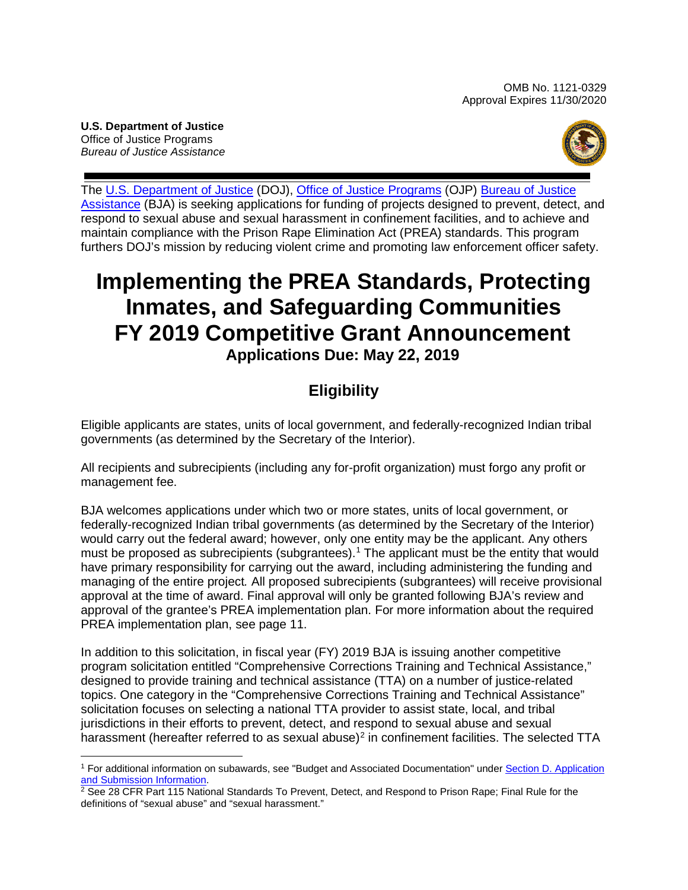**U.S. Department of Justice**  Office of Justice Programs *Bureau of Justice Assistance* 



 respond to sexual abuse and sexual harassment in confinement facilities, and to achieve and The [U.S. Department of Justice](https://www.usdoj.gov/) (DOJ), [Office of Justice Programs](https://www.ojp.usdoj.gov/) (OJP) [Bureau of Justice](https://www.bja.gov/)  [Assistance](https://www.bja.gov/) (BJA) is seeking applications for funding of projects designed to prevent, detect, and maintain compliance with the Prison Rape Elimination Act (PREA) standards. This program furthers DOJ's mission by reducing violent crime and promoting law enforcement officer safety.

# **Implementing the PREA Standards, Protecting Inmates, and Safeguarding Communities FY 2019 Competitive Grant Announcement Applications Due: May 22, 2019**

# **Eligibility**

Eligible applicants are states, units of local government, and federally-recognized Indian tribal governments (as determined by the Secretary of the Interior).

All recipients and subrecipients (including any for-profit organization) must forgo any profit or management fee.

BJA welcomes applications under which two or more states, units of local government, or federally-recognized Indian tribal governments (as determined by the Secretary of the Interior) would carry out the federal award; however, only one entity may be the applicant. Any others must be proposed as subrecipients (subgrantees). [1](#page-0-0) The applicant must be the entity that would have primary responsibility for carrying out the award, including administering the funding and managing of the entire project*.* All proposed subrecipients (subgrantees) will receive provisional approval at the time of award. Final approval will only be granted following BJA's review and approval of the grantee's PREA implementation plan. For more information about the required PREA implementation plan, see page 11.

In addition to this solicitation, in fiscal year (FY) 2019 BJA is issuing another competitive program solicitation entitled "Comprehensive Corrections Training and Technical Assistance," designed to provide training and technical assistance (TTA) on a number of justice-related topics. One category in the "Comprehensive Corrections Training and Technical Assistance" solicitation focuses on selecting a national TTA provider to assist state, local, and tribal jurisdictions in their efforts to prevent, detect, and respond to sexual abuse and sexual harassment (hereafter referred to as sexual abuse)<sup>2</sup> in confinement facilities. The selected TTA

<span id="page-0-0"></span><sup>&</sup>lt;sup>1</sup> For additional information on subawards, see "Budget and Associated Documentation" under Section D. Application [and Submission Information.](#page-13-0)<br><sup>2</sup> See 28 CFR Part 115 National Standards To Prevent, Detect, and Respond to Prison Rape; Final Rule for the

<span id="page-0-1"></span>definitions of "sexual abuse" and "sexual harassment."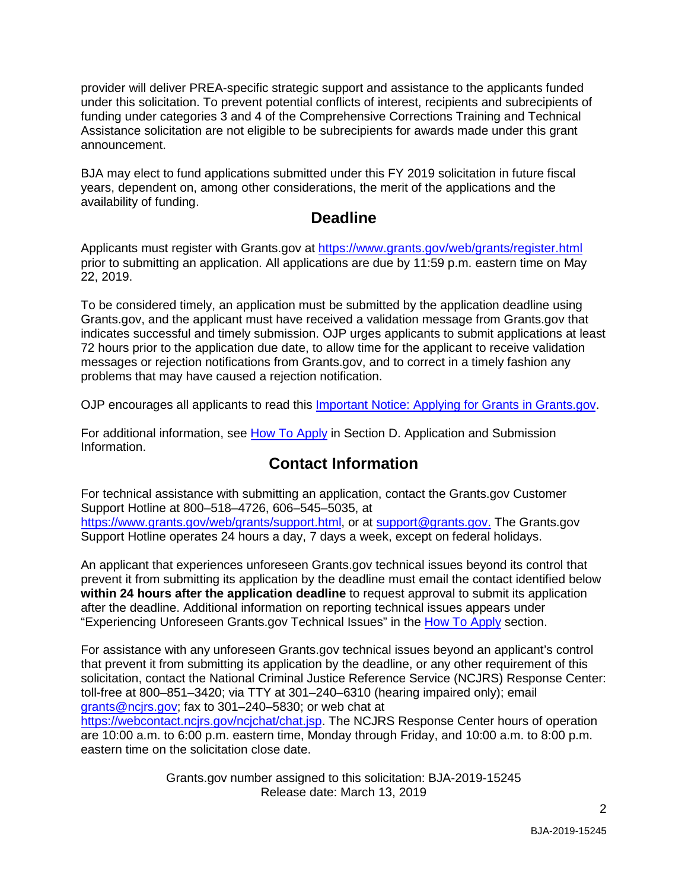provider will deliver PREA-specific strategic support and assistance to the applicants funded Assistance solicitation are not eligible to be subrecipients for awards made under this grant announcement. under this solicitation. To prevent potential conflicts of interest, recipients and subrecipients of funding under categories 3 and 4 of the Comprehensive Corrections Training and Technical

 availability of funding. BJA may elect to fund applications submitted under this FY 2019 solicitation in future fiscal years, dependent on, among other considerations, the merit of the applications and the

## **Deadline**

Applicants must register with Grants.gov at<https://www.grants.gov/web/grants/register.html> prior to submitting an application. All applications are due by 11:59 p.m. eastern time on May 22, 2019.

To be considered timely, an application must be submitted by the application deadline using Grants.gov, and the applicant must have received a validation message from Grants.gov that indicates successful and timely submission. OJP urges applicants to submit applications at least 72 hours prior to the application due date, to allow time for the applicant to receive validation messages or rejection notifications from Grants.gov, and to correct in a timely fashion any problems that may have caused a rejection notification.

OJP encourages all applicants to read this [Important Notice: Applying for Grants in Grants.gov.](https://ojp.gov/funding/Apply/Grants-govInfo.htm)

For additional information, see [How To Apply](#page-25-0) in Section [D. Application and Submission](#page-13-0)  [Information.](#page-13-0)

# **Contact Information**

For technical assistance with submitting an application, contact the Grants.gov Customer Support Hotline at 800–518–4726, 606–545–5035, at [https://www.grants.gov/web/grants/support.html,](https://www.grants.gov/web/grants/support.html) or at [support@grants.gov.](mailto:support@grants.gov) The Grants.gov Support Hotline operates 24 hours a day, 7 days a week, except on federal holidays.

An applicant that experiences unforeseen Grants.gov technical issues beyond its control that prevent it from submitting its application by the deadline must email the contact identified below **within 24 hours after the application deadline** to request approval to submit its application after the deadline. Additional information on reporting technical issues appears under "Experiencing Unforeseen Grants.gov Technical Issues" in the [How To Apply](#page-25-0) section.

For assistance with any unforeseen Grants.gov technical issues beyond an applicant's control that prevent it from submitting its application by the deadline, or any other requirement of this solicitation, contact the National Criminal Justice Reference Service (NCJRS) Response Center: toll-free at 800–851–3420; via TTY at 301–240–6310 (hearing impaired only); email [grants@ncjrs.gov;](mailto:grants@ncjrs.gov) fax to 301–240–5830; or web chat at [https://webcontact.ncjrs.gov/ncjchat/chat.jsp.](https://webcontact.ncjrs.gov/ncjchat/chat.jsp) The NCJRS Response Center hours of operation are 10:00 a.m. to 6:00 p.m. eastern time, Monday through Friday, and 10:00 a.m. to 8:00 p.m. eastern time on the solicitation close date.

> Grants.gov number assigned to this solicitation: BJA-2019-15245 Release date: March 13, 2019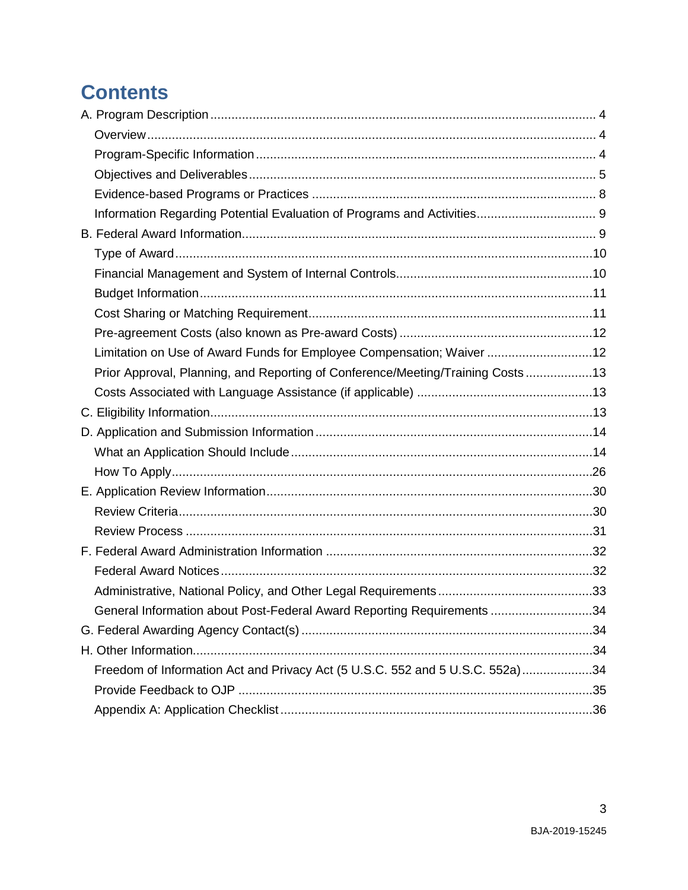# **Contents**

| Limitation on Use of Award Funds for Employee Compensation; Waiver 12          |  |
|--------------------------------------------------------------------------------|--|
| Prior Approval, Planning, and Reporting of Conference/Meeting/Training Costs13 |  |
|                                                                                |  |
|                                                                                |  |
|                                                                                |  |
|                                                                                |  |
|                                                                                |  |
|                                                                                |  |
|                                                                                |  |
|                                                                                |  |
|                                                                                |  |
|                                                                                |  |
|                                                                                |  |
| General Information about Post-Federal Award Reporting Requirements 34         |  |
|                                                                                |  |
|                                                                                |  |
| Freedom of Information Act and Privacy Act (5 U.S.C. 552 and 5 U.S.C. 552a)34  |  |
|                                                                                |  |
|                                                                                |  |

 $\mathbf{3}$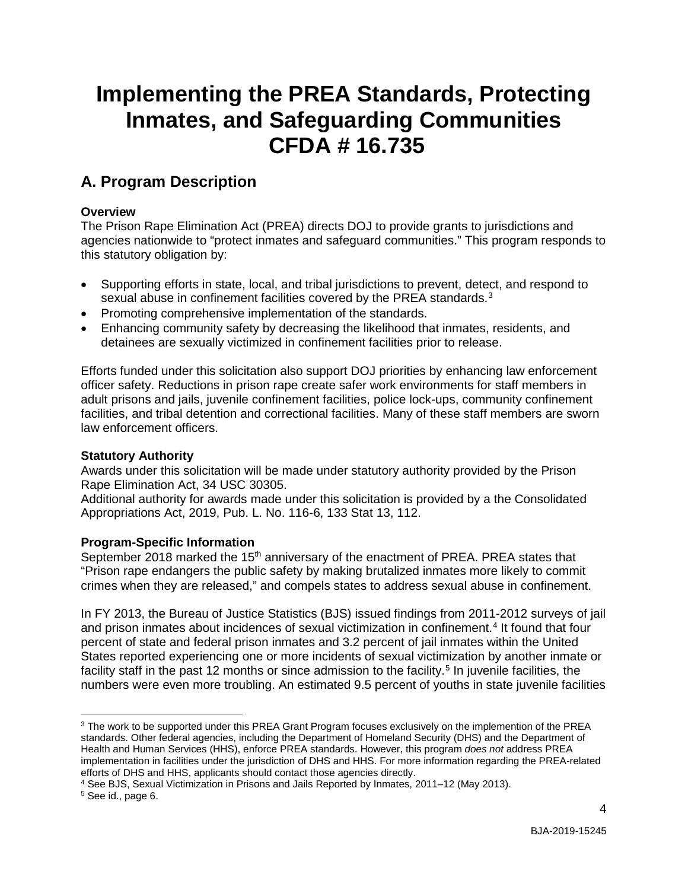# **Implementing the PREA Standards, Protecting Inmates, and Safeguarding Communities CFDA # 16.735**

# <span id="page-3-0"></span>**A. Program Description**

## <span id="page-3-1"></span>**Overview**

The Prison Rape Elimination Act (PREA) directs DOJ to provide grants to jurisdictions and agencies nationwide to "protect inmates and safeguard communities." This program responds to this statutory obligation by:

- Supporting efforts in state, local, and tribal jurisdictions to prevent, detect, and respond to sexual abuse in confinement facilities covered by the PREA standards.<sup>[3](#page-3-2)</sup>
- Promoting comprehensive implementation of the standards.
- Enhancing community safety by decreasing the likelihood that inmates, residents, and detainees are sexually victimized in confinement facilities prior to release.

Efforts funded under this solicitation also support DOJ priorities by enhancing law enforcement officer safety. Reductions in prison rape create safer work environments for staff members in adult prisons and jails, juvenile confinement facilities, police lock-ups, community confinement facilities, and tribal detention and correctional facilities. Many of these staff members are sworn law enforcement officers.

#### **Statutory Authority**

Awards under this solicitation will be made under statutory authority provided by the Prison Rape Elimination Act, 34 USC 30305.

Additional authority for awards made under this solicitation is provided by a the Consolidated Appropriations Act, 2019, Pub. L. No. 116-6, 133 Stat 13, 112.

## **Program-Specific Information**

September 2018 marked the 15<sup>th</sup> anniversary of the enactment of PREA. PREA states that "Prison rape endangers the public safety by making brutalized inmates more likely to commit crimes when they are released," and compels states to address sexual abuse in confinement.

In FY 2013, the Bureau of Justice Statistics (BJS) issued findings from 2011-2012 surveys of jail and prison inmates about incidences of sexual victimization in confinement. [4](#page-3-3) It found that four percent of state and federal prison inmates and 3.2 percent of jail inmates within the United States reported experiencing one or more incidents of sexual victimization by another inmate or facility staff in the past 12 months or since admission to the facility.<sup>[5](#page-3-4)</sup> In juvenile facilities, the numbers were even more troubling. An estimated 9.5 percent of youths in state juvenile facilities

 $\overline{a}$ 

<span id="page-3-2"></span><sup>&</sup>lt;sup>3</sup> The work to be supported under this PREA Grant Program focuses exclusively on the implemention of the PREA standards. Other federal agencies, including the Department of Homeland Security (DHS) and the Department of Health and Human Services (HHS), enforce PREA standards. However, this program *does not* address PREA implementation in facilities under the jurisdiction of DHS and HHS. For more information regarding the PREA-related efforts of DHS and HHS, applicants should contact those agencies directly.

<span id="page-3-3"></span><sup>4</sup> See BJS, Sexual Victimization in Prisons and Jails Reported by Inmates, 2011–12 (May 2013).

<span id="page-3-4"></span><sup>5</sup> See id., page 6.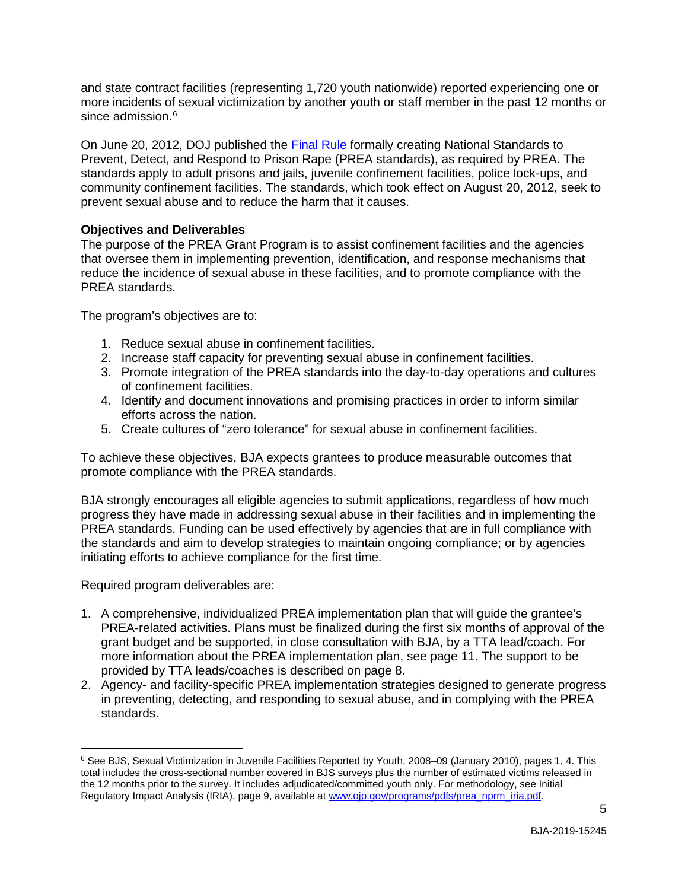and state contract facilities (representing 1,720 youth nationwide) reported experiencing one or more incidents of sexual victimization by another youth or staff member in the past 12 months or since admission.<sup>[6](#page-4-1)</sup>

On June 20, 2012, DOJ published the [Final Rule](https://www.gpo.gov/fdsys/pkg/FR-2012-06-20/pdf/2012-12427.pdf) formally creating National Standards to Prevent, Detect, and Respond to Prison Rape (PREA standards), as required by PREA. The standards apply to adult prisons and jails, juvenile confinement facilities, police lock-ups, and community confinement facilities. The standards, which took effect on August 20, 2012, seek to prevent sexual abuse and to reduce the harm that it causes.

## <span id="page-4-0"></span>**Objectives and Deliverables**

The purpose of the PREA Grant Program is to assist confinement facilities and the agencies that oversee them in implementing prevention, identification, and response mechanisms that reduce the incidence of sexual abuse in these facilities, and to promote compliance with the PREA standards.

The program's objectives are to:

- 1. Reduce sexual abuse in confinement facilities.
- 2. Increase staff capacity for preventing sexual abuse in confinement facilities.
- 3. Promote integration of the PREA standards into the day-to-day operations and cultures of confinement facilities.
- 4. Identify and document innovations and promising practices in order to inform similar efforts across the nation.
- 5. Create cultures of "zero tolerance" for sexual abuse in confinement facilities.

To achieve these objectives, BJA expects grantees to produce measurable outcomes that promote compliance with the PREA standards.

BJA strongly encourages all eligible agencies to submit applications, regardless of how much progress they have made in addressing sexual abuse in their facilities and in implementing the PREA standards. Funding can be used effectively by agencies that are in full compliance with the standards and aim to develop strategies to maintain ongoing compliance; or by agencies initiating efforts to achieve compliance for the first time.

Required program deliverables are:

- 1. A comprehensive, individualized PREA implementation plan that will guide the grantee's PREA-related activities. Plans must be finalized during the first six months of approval of the grant budget and be supported, in close consultation with BJA, by a TTA lead/coach. For more information about the PREA implementation plan, see page 11. The support to be provided by TTA leads/coaches is described on page 8.
- 2. Agency- and facility-specific PREA implementation strategies designed to generate progress in preventing, detecting, and responding to sexual abuse, and in complying with the PREA standards.

<span id="page-4-1"></span> $\overline{a}$ <sup>6</sup> See BJS, Sexual Victimization in Juvenile Facilities Reported by Youth, 2008–09 (January 2010), pages 1, 4. This total includes the cross-sectional number covered in BJS surveys plus the number of estimated victims released in the 12 months prior to the survey. It includes adjudicated/committed youth only. For methodology, see Initial Regulatory Impact Analysis (IRIA), page 9, available a[t www.ojp.gov/programs/pdfs/prea\\_nprm\\_iria.pdf.](http://www.ojp.gov/programs/pdfs/prea_nprm_iria.pdf)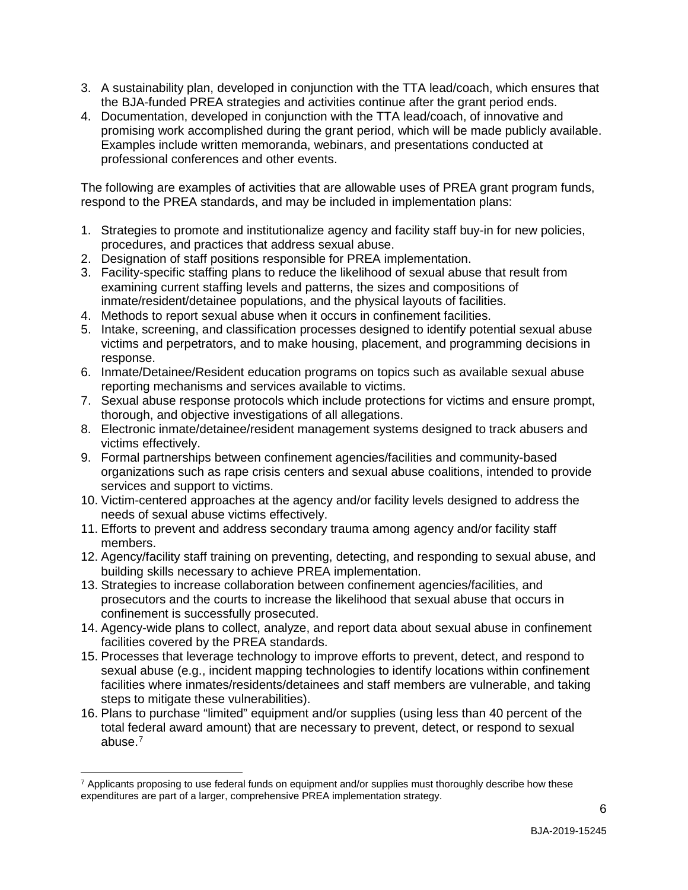- 3. A sustainability plan, developed in conjunction with the TTA lead/coach, which ensures that the BJA-funded PREA strategies and activities continue after the grant period ends.
- 4. Documentation, developed in conjunction with the TTA lead/coach, of innovative and promising work accomplished during the grant period, which will be made publicly available. Examples include written memoranda, webinars, and presentations conducted at professional conferences and other events.

The following are examples of activities that are allowable uses of PREA grant program funds, respond to the PREA standards, and may be included in implementation plans:

- 1. Strategies to promote and institutionalize agency and facility staff buy-in for new policies, procedures, and practices that address sexual abuse.
- 2. Designation of staff positions responsible for PREA implementation.
- 3. Facility-specific staffing plans to reduce the likelihood of sexual abuse that result from examining current staffing levels and patterns, the sizes and compositions of inmate/resident/detainee populations, and the physical layouts of facilities.
- 4. Methods to report sexual abuse when it occurs in confinement facilities.
- 5. Intake, screening, and classification processes designed to identify potential sexual abuse victims and perpetrators, and to make housing, placement, and programming decisions in response.
- 6. Inmate/Detainee/Resident education programs on topics such as available sexual abuse reporting mechanisms and services available to victims.
- 7. Sexual abuse response protocols which include protections for victims and ensure prompt, thorough, and objective investigations of all allegations.
- 8. Electronic inmate/detainee/resident management systems designed to track abusers and victims effectively.
- 9. Formal partnerships between confinement agencies/facilities and community-based organizations such as rape crisis centers and sexual abuse coalitions, intended to provide services and support to victims.
- 10. Victim-centered approaches at the agency and/or facility levels designed to address the needs of sexual abuse victims effectively.
- 11. Efforts to prevent and address secondary trauma among agency and/or facility staff members.
- 12. Agency/facility staff training on preventing, detecting, and responding to sexual abuse, and building skills necessary to achieve PREA implementation.
- 13. Strategies to increase collaboration between confinement agencies/facilities, and prosecutors and the courts to increase the likelihood that sexual abuse that occurs in confinement is successfully prosecuted.
- 14. Agency-wide plans to collect, analyze, and report data about sexual abuse in confinement facilities covered by the PREA standards.
- 15. Processes that leverage technology to improve efforts to prevent, detect, and respond to sexual abuse (e.g., incident mapping technologies to identify locations within confinement facilities where inmates/residents/detainees and staff members are vulnerable, and taking steps to mitigate these vulnerabilities).
- 16. Plans to purchase "limited" equipment and/or supplies (using less than 40 percent of the total federal award amount) that are necessary to prevent, detect, or respond to sexual abuse. $<sup>7</sup>$  $<sup>7</sup>$  $<sup>7</sup>$ </sup>

 $\overline{a}$ 

<span id="page-5-0"></span> $7$  Applicants proposing to use federal funds on equipment and/or supplies must thoroughly describe how these expenditures are part of a larger, comprehensive PREA implementation strategy.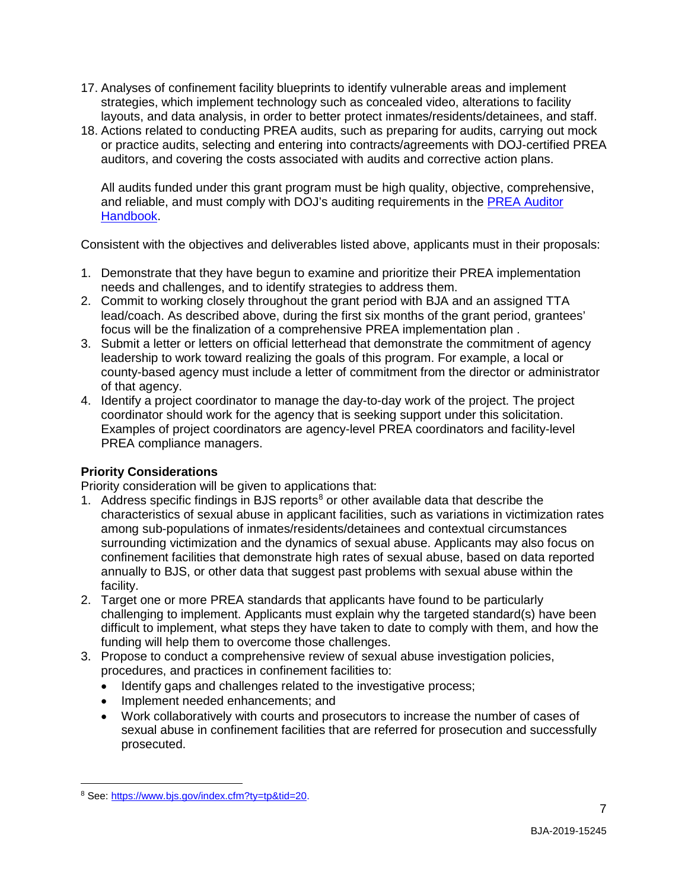- 17. Analyses of confinement facility blueprints to identify vulnerable areas and implement strategies, which implement technology such as concealed video, alterations to facility layouts, and data analysis, in order to better protect inmates/residents/detainees, and staff.
- 18. Actions related to conducting PREA audits, such as preparing for audits, carrying out mock or practice audits, selecting and entering into contracts/agreements with DOJ-certified PREA auditors, and covering the costs associated with audits and corrective action plans.

All audits funded under this grant program must be high quality, objective, comprehensive, and reliable, and must comply with DOJ's auditing requirements in the [PREA Auditor](https://www.prearesourcecenter.org/node/5341)  [Handbook.](https://www.prearesourcecenter.org/node/5341)

Consistent with the objectives and deliverables listed above, applicants must in their proposals:

- 1. Demonstrate that they have begun to examine and prioritize their PREA implementation needs and challenges, and to identify strategies to address them.
- 2. Commit to working closely throughout the grant period with BJA and an assigned TTA lead/coach. As described above, during the first six months of the grant period, grantees' focus will be the finalization of a comprehensive PREA implementation plan .
- 3. Submit a letter or letters on official letterhead that demonstrate the commitment of agency leadership to work toward realizing the goals of this program. For example, a local or county-based agency must include a letter of commitment from the director or administrator of that agency.
- 4. Identify a project coordinator to manage the day-to-day work of the project. The project coordinator should work for the agency that is seeking support under this solicitation. Examples of project coordinators are agency-level PREA coordinators and facility-level PREA compliance managers.

## **Priority Considerations**

Priority consideration will be given to applications that:

- 1. Address specific findings in BJS reports $<sup>8</sup>$  $<sup>8</sup>$  $<sup>8</sup>$  or other available data that describe the</sup> characteristics of sexual abuse in applicant facilities, such as variations in victimization rates among sub-populations of inmates/residents/detainees and contextual circumstances surrounding victimization and the dynamics of sexual abuse. Applicants may also focus on confinement facilities that demonstrate high rates of sexual abuse, based on data reported annually to BJS, or other data that suggest past problems with sexual abuse within the facility.
- 2. Target one or more PREA standards that applicants have found to be particularly challenging to implement. Applicants must explain why the targeted standard(s) have been difficult to implement, what steps they have taken to date to comply with them, and how the funding will help them to overcome those challenges.
- 3. Propose to conduct a comprehensive review of sexual abuse investigation policies, procedures, and practices in confinement facilities to:
	- Identify gaps and challenges related to the investigative process;
	- Implement needed enhancements; and
	- Work collaboratively with courts and prosecutors to increase the number of cases of sexual abuse in confinement facilities that are referred for prosecution and successfully prosecuted.

<span id="page-6-0"></span> $\overline{a}$ <sup>8</sup> See: [https://www.bjs.gov/index.cfm?ty=tp&tid=20.](https://www.bjs.gov/index.cfm?ty=tp&tid=20)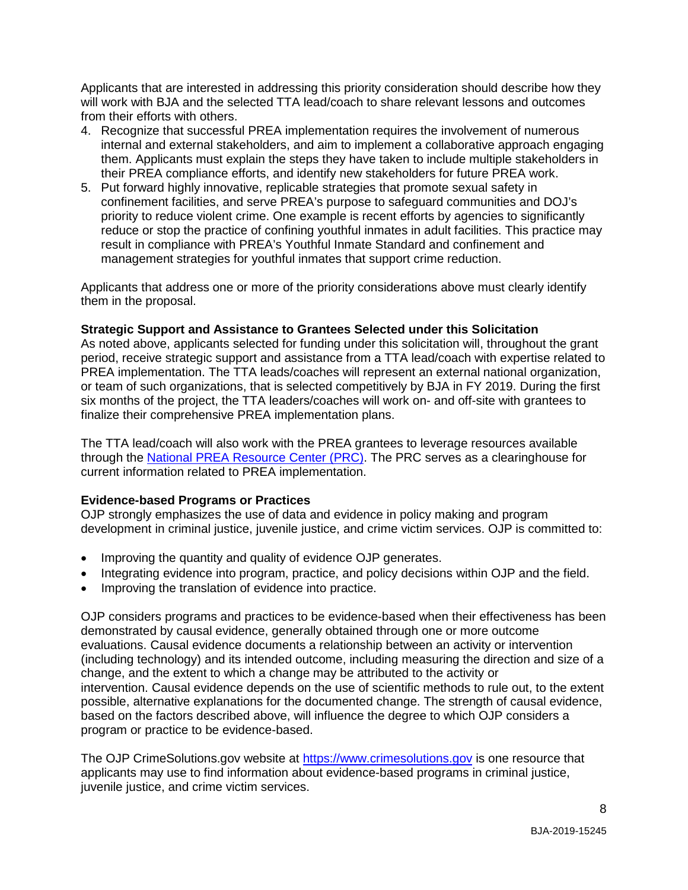Applicants that are interested in addressing this priority consideration should describe how they will work with BJA and the selected TTA lead/coach to share relevant lessons and outcomes from their efforts with others.

- 4. Recognize that successful PREA implementation requires the involvement of numerous internal and external stakeholders, and aim to implement a collaborative approach engaging them. Applicants must explain the steps they have taken to include multiple stakeholders in their PREA compliance efforts, and identify new stakeholders for future PREA work.
- 5. Put forward highly innovative, replicable strategies that promote sexual safety in confinement facilities, and serve PREA's purpose to safeguard communities and DOJ's priority to reduce violent crime. One example is recent efforts by agencies to significantly reduce or stop the practice of confining youthful inmates in adult facilities. This practice may result in compliance with PREA's Youthful Inmate Standard and confinement and management strategies for youthful inmates that support crime reduction.

Applicants that address one or more of the priority considerations above must clearly identify them in the proposal.

#### **Strategic Support and Assistance to Grantees Selected under this Solicitation**

As noted above, applicants selected for funding under this solicitation will, throughout the grant period, receive strategic support and assistance from a TTA lead/coach with expertise related to PREA implementation. The TTA leads/coaches will represent an external national organization, or team of such organizations, that is selected competitively by BJA in FY 2019. During the first six months of the project, the TTA leaders/coaches will work on- and off-site with grantees to finalize their comprehensive PREA implementation plans.

The TTA lead/coach will also work with the PREA grantees to leverage resources available through the **National PREA Resource Center (PRC)**. The PRC serves as a clearinghouse for current information related to PREA implementation.

#### <span id="page-7-0"></span>**Evidence-based Programs or Practices**

OJP strongly emphasizes the use of data and evidence in policy making and program development in criminal justice, juvenile justice, and crime victim services. OJP is committed to:

- Improving the quantity and quality of evidence OJP generates.
- Integrating evidence into program, practice, and policy decisions within OJP and the field.
- Improving the translation of evidence into practice.

OJP considers programs and practices to be evidence-based when their effectiveness has been demonstrated by causal evidence, generally obtained through one or more outcome evaluations. Causal evidence documents a relationship between an activity or intervention (including technology) and its intended outcome, including measuring the direction and size of a change, and the extent to which a change may be attributed to the activity or intervention. Causal evidence depends on the use of scientific methods to rule out, to the extent possible, alternative explanations for the documented change. The strength of causal evidence, based on the factors described above, will influence the degree to which OJP considers a program or practice to be evidence-based.

The OJP CrimeSolutions.gov website at [https://www.crimesolutions.gov](https://www.crimesolutions.gov/) is one resource that applicants may use to find information about evidence-based programs in criminal justice, juvenile justice, and crime victim services.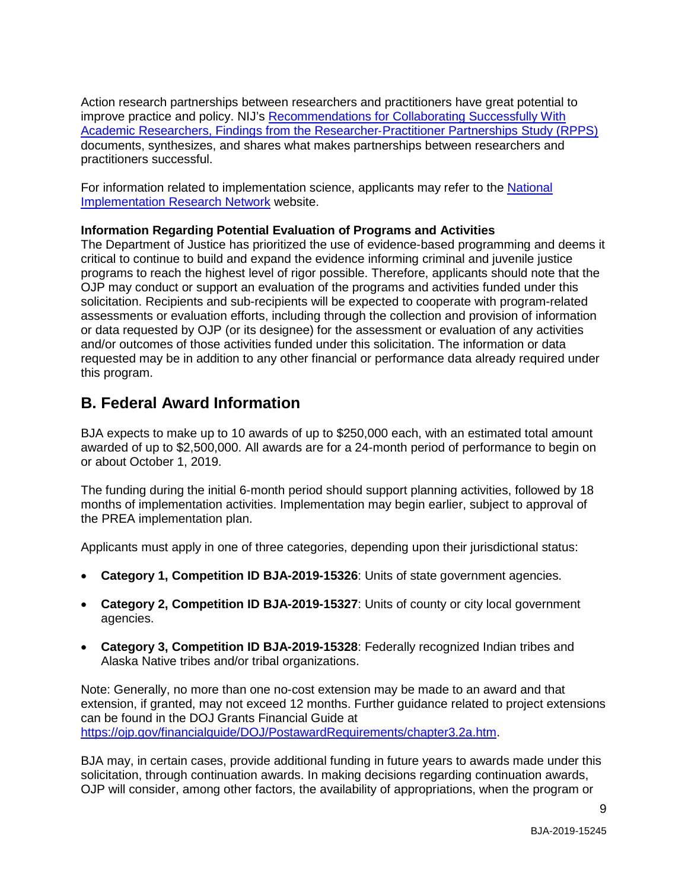Action research partnerships between researchers and practitioners have great potential to improve practice and policy. NIJ's [Recommendations for Collaborating Successfully With](http://www.ncjrs.gov/pdffiles1/nij/grants/243911.pdf)  [Academic Researchers, Findings from the Researcher](http://www.ncjrs.gov/pdffiles1/nij/grants/243911.pdf)‐Practitioner Partnerships Study (RPPS) documents, synthesizes, and shares what makes partnerships between researchers and practitioners successful.

For information related to implementation science, applicants may refer to the [National](http://nirn.fpg.unc.edu/)  [Implementation Research Network](http://nirn.fpg.unc.edu/) website.

## <span id="page-8-0"></span>**Information Regarding Potential Evaluation of Programs and Activities**

The Department of Justice has prioritized the use of evidence-based programming and deems it critical to continue to build and expand the evidence informing criminal and juvenile justice programs to reach the highest level of rigor possible. Therefore, applicants should note that the OJP may conduct or support an evaluation of the programs and activities funded under this solicitation. Recipients and sub-recipients will be expected to cooperate with program-related assessments or evaluation efforts, including through the collection and provision of information or data requested by OJP (or its designee) for the assessment or evaluation of any activities and/or outcomes of those activities funded under this solicitation. The information or data requested may be in addition to any other financial or performance data already required under this program.

# <span id="page-8-1"></span>**B. Federal Award Information**

BJA expects to make up to 10 awards of up to \$250,000 each, with an estimated total amount awarded of up to \$2,500,000. All awards are for a 24-month period of performance to begin on or about October 1, 2019.

The funding during the initial 6-month period should support planning activities, followed by 18 months of implementation activities. Implementation may begin earlier, subject to approval of the PREA implementation plan.

Applicants must apply in one of three categories, depending upon their jurisdictional status:

- **Category 1, Competition ID BJA-2019-15326**: Units of state government agencies.
- **Category 2, Competition ID BJA-2019-15327**: Units of county or city local government agencies.
- **Category 3, Competition ID BJA-2019-15328**: Federally recognized Indian tribes and Alaska Native tribes and/or tribal organizations.

Note: Generally, no more than one no-cost extension may be made to an award and that extension, if granted, may not exceed 12 months. Further guidance related to project extensions can be found in the DOJ Grants Financial Guide at [https://ojp.gov/financialguide/DOJ/PostawardRequirements/chapter3.2a.htm.](https://ojp.gov/financialguide/DOJ/PostawardRequirements/chapter3.2a.htm)

BJA may, in certain cases, provide additional funding in future years to awards made under this solicitation, through continuation awards. In making decisions regarding continuation awards, OJP will consider, among other factors, the availability of appropriations, when the program or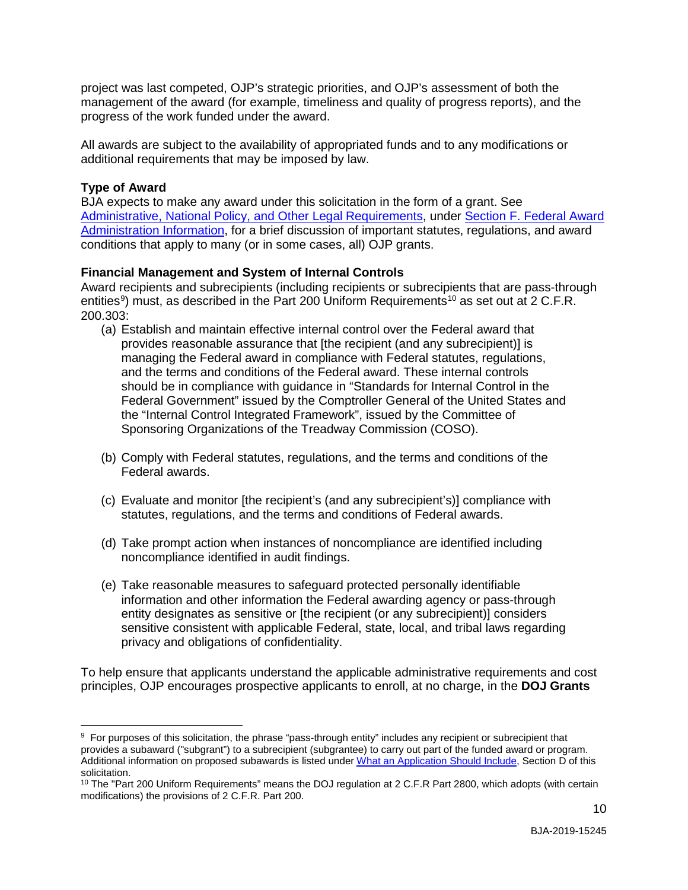project was last competed, OJP's strategic priorities, and OJP's assessment of both the management of the award (for example, timeliness and quality of progress reports), and the progress of the work funded under the award.

All awards are subject to the availability of appropriated funds and to any modifications or additional requirements that may be imposed by law.

#### <span id="page-9-0"></span>**Type of Award**

 $\overline{a}$ 

BJA expects to make any award under this solicitation in the form of a grant. See [Administrative, National Policy, and Other Legal Requirements,](#page-31-2) under [Section F. Federal Award](#page-31-2)  [Administration Information,](#page-31-2) for a brief discussion of important statutes, regulations, and award conditions that apply to many (or in some cases, all) OJP grants.

## <span id="page-9-1"></span>**Financial Management and System of Internal Controls**

Award recipients and subrecipients (including recipients or subrecipients that are pass-through entities<sup>[9](#page-9-2)</sup>) must, as described in the Part 200 Uniform Requirements<sup>[10](#page-9-3)</sup> as set out at 2 C.F.R. 200.303:

- (a) Establish and maintain effective internal control over the Federal award that provides reasonable assurance that [the recipient (and any subrecipient)] is managing the Federal award in compliance with Federal statutes, regulations, and the terms and conditions of the Federal award. These internal controls should be in compliance with guidance in "Standards for Internal Control in the Federal Government" issued by the Comptroller General of the United States and the "Internal Control Integrated Framework", issued by the Committee of Sponsoring Organizations of the Treadway Commission (COSO).
- (b) Comply with Federal statutes, regulations, and the terms and conditions of the Federal awards.
- (c) Evaluate and monitor [the recipient's (and any subrecipient's)] compliance with statutes, regulations, and the terms and conditions of Federal awards.
- (d) Take prompt action when instances of noncompliance are identified including noncompliance identified in audit findings.
- (e) Take reasonable measures to safeguard protected personally identifiable information and other information the Federal awarding agency or pass-through entity designates as sensitive or [the recipient (or any subrecipient)] considers sensitive consistent with applicable Federal, state, local, and tribal laws regarding privacy and obligations of confidentiality.

To help ensure that applicants understand the applicable administrative requirements and cost principles, OJP encourages prospective applicants to enroll, at no charge, in the **DOJ Grants**

<span id="page-9-2"></span><sup>&</sup>lt;sup>9</sup> For purposes of this solicitation, the phrase "pass-through entity" includes any recipient or subrecipient that provides a subaward ("subgrant") to a subrecipient (subgrantee) to carry out part of the funded award or program. Additional information on proposed subawards is listed unde[r What an Application Should Include,](#page-13-1) Section D of this solicitation.

<span id="page-9-3"></span><sup>&</sup>lt;sup>10</sup> The "Part 200 Uniform Requirements" means the DOJ regulation at 2 C.F.R Part 2800, which adopts (with certain modifications) the provisions of 2 C.F.R. Part 200.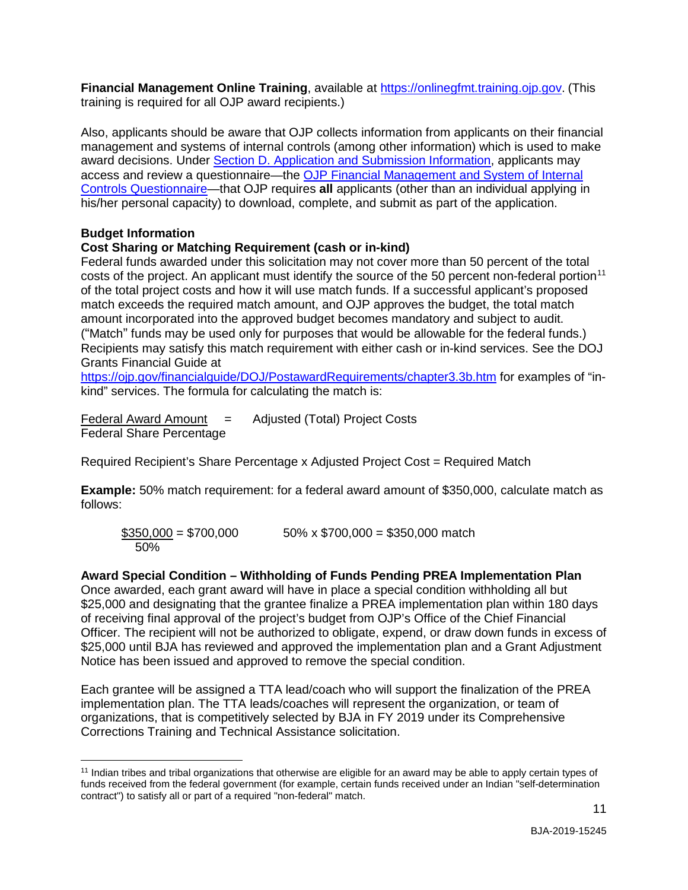**Financial Management Online Training**, available at [https://onlinegfmt.training.ojp.gov.](https://onlinegfmt.training.ojp.gov/) (This training is required for all OJP award recipients.)

Also, applicants should be aware that OJP collects information from applicants on their financial management and systems of internal controls (among other information) which is used to make award decisions. Under [Section D. Application and Submission Information,](#page-13-0) applicants may access and review a questionnaire—the [OJP Financial Management and System of Internal](https://ojp.gov/funding/Apply/Resources/FinancialCapability.pdf)  [Controls Questionnaire—](https://ojp.gov/funding/Apply/Resources/FinancialCapability.pdf)that OJP requires **all** applicants (other than an individual applying in his/her personal capacity) to download, complete, and submit as part of the application.

#### <span id="page-10-0"></span>**Budget Information**

 $\overline{a}$ 

## **Cost Sharing or Matching Requirement (cash or in-kind)**

Federal funds awarded under this solicitation may not cover more than 50 percent of the total costs of the project. An applicant must identify the source of the 50 percent non-federal portion<sup>[11](#page-10-1)</sup> of the total project costs and how it will use match funds. If a successful applicant's proposed match exceeds the required match amount, and OJP approves the budget, the total match amount incorporated into the approved budget becomes mandatory and subject to audit. ("Match" funds may be used only for purposes that would be allowable for the federal funds.) Recipients may satisfy this match requirement with either cash or in-kind services. See the DOJ Grants Financial Guide at

<https://ojp.gov/financialguide/DOJ/PostawardRequirements/chapter3.3b.htm> for examples of "inkind" services. The formula for calculating the match is:

 $Federal Award Amount = Adjusted (Total) Project Costs$ Federal Share Percentage

Required Recipient's Share Percentage x Adjusted Project Cost = Required Match

**Example:** 50% match requirement: for a federal award amount of \$350,000, calculate match as follows:

 $$350,000 = $700,000$  50% x \$700,000 = \$350,000 match 50%

**Award Special Condition – Withholding of Funds Pending PREA Implementation Plan** Once awarded, each grant award will have in place a special condition withholding all but \$25,000 and designating that the grantee finalize a PREA implementation plan within 180 days of receiving final approval of the project's budget from OJP's Office of the Chief Financial Officer. The recipient will not be authorized to obligate, expend, or draw down funds in excess of \$25,000 until BJA has reviewed and approved the implementation plan and a Grant Adjustment Notice has been issued and approved to remove the special condition.

Each grantee will be assigned a TTA lead/coach who will support the finalization of the PREA implementation plan. The TTA leads/coaches will represent the organization, or team of organizations, that is competitively selected by BJA in FY 2019 under its Comprehensive Corrections Training and Technical Assistance solicitation.

<span id="page-10-1"></span> $11$  Indian tribes and tribal organizations that otherwise are eligible for an award may be able to apply certain types of funds received from the federal government (for example, certain funds received under an Indian "self-determination contract") to satisfy all or part of a required "non-federal" match.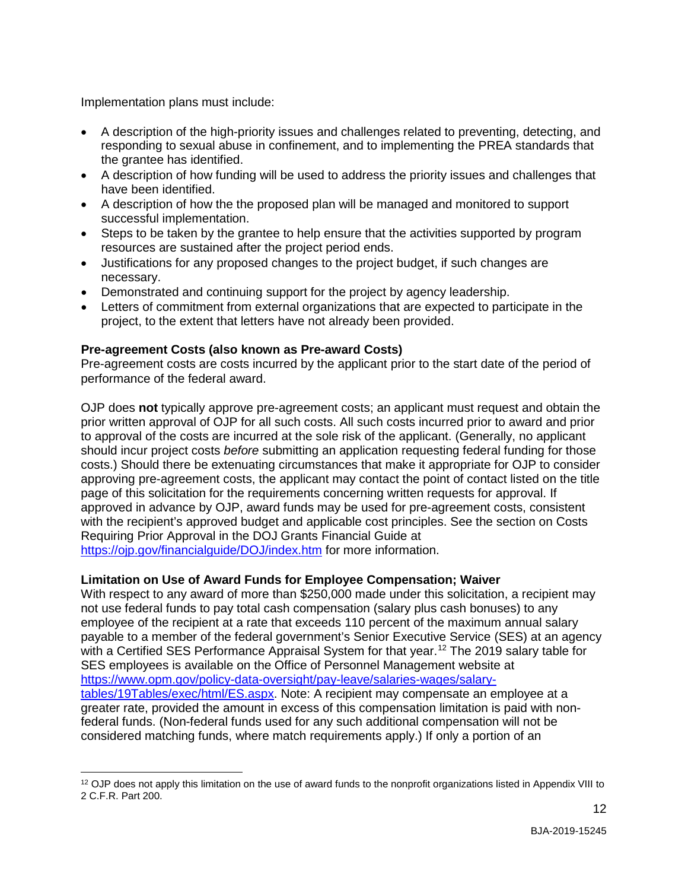Implementation plans must include:

 $\overline{a}$ 

- A description of the high-priority issues and challenges related to preventing, detecting, and responding to sexual abuse in confinement, and to implementing the PREA standards that the grantee has identified.
- A description of how funding will be used to address the priority issues and challenges that have been identified.
- A description of how the the proposed plan will be managed and monitored to support successful implementation.
- Steps to be taken by the grantee to help ensure that the activities supported by program resources are sustained after the project period ends.
- Justifications for any proposed changes to the project budget, if such changes are necessary.
- Demonstrated and continuing support for the project by agency leadership.
- <span id="page-11-0"></span>• Letters of commitment from external organizations that are expected to participate in the project, to the extent that letters have not already been provided.

#### **Pre-agreement Costs (also known as Pre-award Costs)**

Pre-agreement costs are costs incurred by the applicant prior to the start date of the period of performance of the federal award.

OJP does **not** typically approve pre-agreement costs; an applicant must request and obtain the prior written approval of OJP for all such costs. All such costs incurred prior to award and prior to approval of the costs are incurred at the sole risk of the applicant. (Generally, no applicant should incur project costs *before* submitting an application requesting federal funding for those costs.) Should there be extenuating circumstances that make it appropriate for OJP to consider approving pre-agreement costs, the applicant may contact the point of contact listed on the title page of this solicitation for the requirements concerning written requests for approval. If approved in advance by OJP, award funds may be used for pre-agreement costs, consistent with the recipient's approved budget and applicable cost principles. See the section on Costs Requiring Prior Approval in the DOJ Grants Financial Guide at <https://ojp.gov/financialguide/DOJ/index.htm> for more information.

#### <span id="page-11-1"></span>**Limitation on Use of Award Funds for Employee Compensation; Waiver**

With respect to any award of more than \$250,000 made under this solicitation, a recipient may not use federal funds to pay total cash compensation (salary plus cash bonuses) to any employee of the recipient at a rate that exceeds 110 percent of the maximum annual salary payable to a member of the federal government's Senior Executive Service (SES) at an agency with a Certified SES Performance Appraisal System for that year.<sup>[12](#page-11-2)</sup> The 2019 salary table for SES employees is available on the Office of Personnel Management website at [https://www.opm.gov/policy-data-oversight/pay-leave/salaries-wages/salary](https://www.opm.gov/policy-data-oversight/pay-leave/salaries-wages/salary-tables/19Tables/exec/html/ES.aspx)[tables/19Tables/exec/html/ES.aspx.](https://www.opm.gov/policy-data-oversight/pay-leave/salaries-wages/salary-tables/19Tables/exec/html/ES.aspx) Note: A recipient may compensate an employee at a greater rate, provided the amount in excess of this compensation limitation is paid with nonfederal funds. (Non-federal funds used for any such additional compensation will not be considered matching funds, where match requirements apply.) If only a portion of an

12

<span id="page-11-2"></span><sup>&</sup>lt;sup>12</sup> OJP does not apply this limitation on the use of award funds to the nonprofit organizations listed in Appendix VIII to 2 C.F.R. Part 200.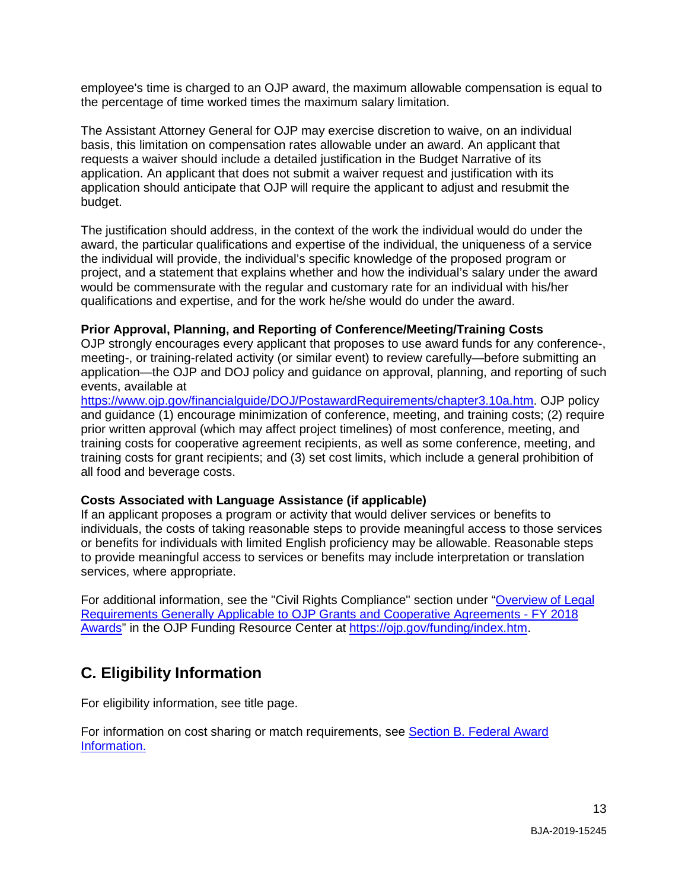employee's time is charged to an OJP award, the maximum allowable compensation is equal to the percentage of time worked times the maximum salary limitation.

The Assistant Attorney General for OJP may exercise discretion to waive, on an individual basis, this limitation on compensation rates allowable under an award. An applicant that requests a waiver should include a detailed justification in the Budget Narrative of its application. An applicant that does not submit a waiver request and justification with its application should anticipate that OJP will require the applicant to adjust and resubmit the budget.

The justification should address, in the context of the work the individual would do under the award, the particular qualifications and expertise of the individual, the uniqueness of a service the individual will provide, the individual's specific knowledge of the proposed program or project, and a statement that explains whether and how the individual's salary under the award would be commensurate with the regular and customary rate for an individual with his/her qualifications and expertise, and for the work he/she would do under the award.

#### <span id="page-12-0"></span>**Prior Approval, Planning, and Reporting of Conference/Meeting/Training Costs**

OJP strongly encourages every applicant that proposes to use award funds for any conference-, meeting-, or training-related activity (or similar event) to review carefully—before submitting an application—the OJP and DOJ policy and guidance on approval, planning, and reporting of such events, available at

[https://www.ojp.gov/financialguide/DOJ/PostawardRequirements/chapter3.10a.htm.](https://www.ojp.gov/financialguide/DOJ/PostawardRequirements/chapter3.10a.htm) OJP policy and guidance (1) encourage minimization of conference, meeting, and training costs; (2) require prior written approval (which may affect project timelines) of most conference, meeting, and training costs for cooperative agreement recipients, as well as some conference, meeting, and training costs for grant recipients; and (3) set cost limits, which include a general prohibition of all food and beverage costs.

#### <span id="page-12-1"></span>**Costs Associated with Language Assistance (if applicable)**

If an applicant proposes a program or activity that would deliver services or benefits to individuals, the costs of taking reasonable steps to provide meaningful access to those services or benefits for individuals with limited English proficiency may be allowable. Reasonable steps to provide meaningful access to services or benefits may include interpretation or translation services, where appropriate.

For additional information, see the "Civil Rights Compliance" section under "Overview of Legal [Requirements Generally Applicable to OJP Grants and Cooperative Agreements - FY 2018](https://ojp.gov/funding/Explore/LegalOverview/index.htm)  [Awards"](https://ojp.gov/funding/Explore/LegalOverview/index.htm) in the OJP Funding Resource Center at [https://ojp.gov/funding/index.htm.](https://ojp.gov/funding/index.htm)

# <span id="page-12-2"></span>**C. Eligibility Information**

For eligibility information, see title page.

For information on cost sharing or match requirements, see Section [B. Federal Award](#page-8-1)  [Information.](#page-8-1)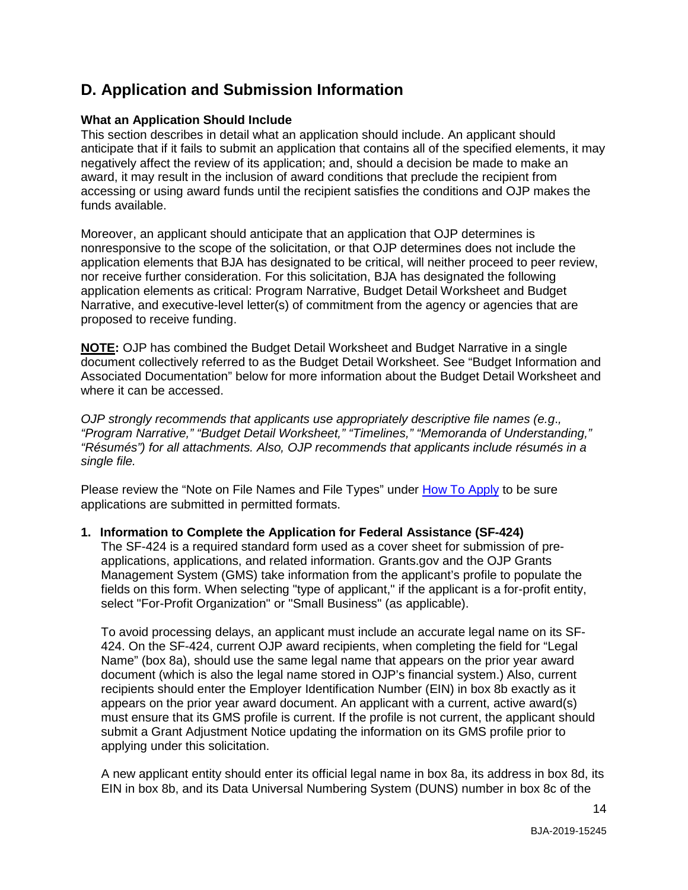# <span id="page-13-0"></span>**D. Application and Submission Information**

#### <span id="page-13-1"></span>**What an Application Should Include**

This section describes in detail what an application should include. An applicant should anticipate that if it fails to submit an application that contains all of the specified elements, it may negatively affect the review of its application; and, should a decision be made to make an award, it may result in the inclusion of award conditions that preclude the recipient from accessing or using award funds until the recipient satisfies the conditions and OJP makes the funds available.

Moreover, an applicant should anticipate that an application that OJP determines is nonresponsive to the scope of the solicitation, or that OJP determines does not include the application elements that BJA has designated to be critical, will neither proceed to peer review, nor receive further consideration. For this solicitation, BJA has designated the following application elements as critical: Program Narrative, Budget Detail Worksheet and Budget Narrative, and executive-level letter(s) of commitment from the agency or agencies that are proposed to receive funding.

**NOTE:** OJP has combined the Budget Detail Worksheet and Budget Narrative in a single document collectively referred to as the Budget Detail Worksheet. See "Budget Information and Associated Documentation" below for more information about the Budget Detail Worksheet and where it can be accessed.

*OJP strongly recommends that applicants use appropriately descriptive file names (e.g*.*, "Program Narrative," "Budget Detail Worksheet," "Timelines," "Memoranda of Understanding," "Résumés") for all attachments. Also, OJP recommends that applicants include résumés in a single file.*

Please review the "Note on File Names and File Types" under [How To Apply](#page-25-0) to be sure applications are submitted in permitted formats.

**1. Information to Complete the Application for Federal Assistance (SF-424)** The SF-424 is a required standard form used as a cover sheet for submission of preapplications, applications, and related information. Grants.gov and the OJP Grants Management System (GMS) take information from the applicant's profile to populate the fields on this form. When selecting "type of applicant," if the applicant is a for-profit entity, select "For-Profit Organization" or "Small Business" (as applicable).

To avoid processing delays, an applicant must include an accurate legal name on its SF-424. On the SF-424, current OJP award recipients, when completing the field for "Legal Name" (box 8a), should use the same legal name that appears on the prior year award document (which is also the legal name stored in OJP's financial system.) Also, current recipients should enter the Employer Identification Number (EIN) in box 8b exactly as it appears on the prior year award document. An applicant with a current, active award(s) must ensure that its GMS profile is current. If the profile is not current, the applicant should submit a Grant Adjustment Notice updating the information on its GMS profile prior to applying under this solicitation.

A new applicant entity should enter its official legal name in box 8a, its address in box 8d, its EIN in box 8b, and its Data Universal Numbering System (DUNS) number in box 8c of the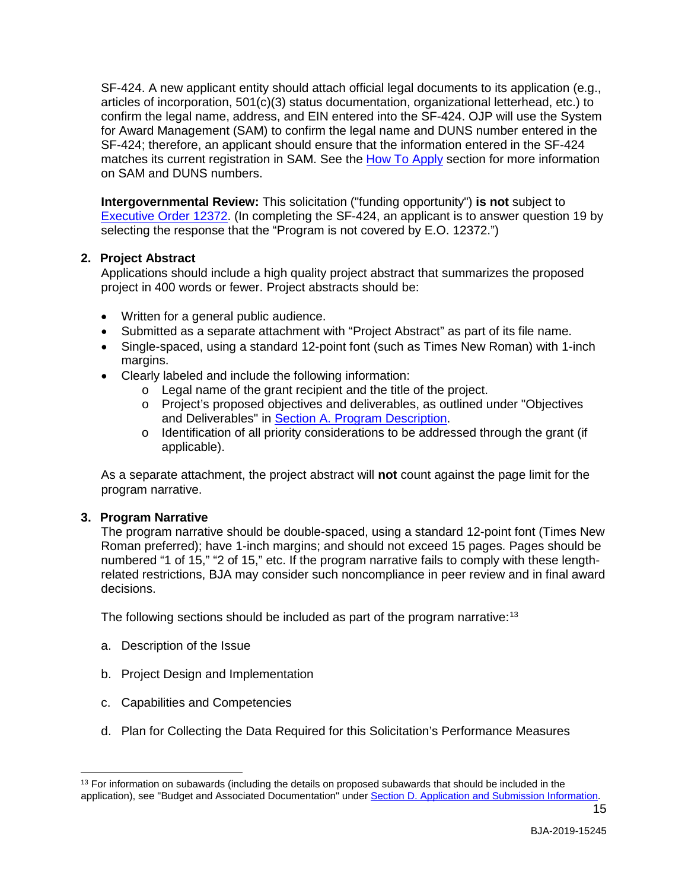SF-424. A new applicant entity should attach official legal documents to its application (e.g., articles of incorporation, 501(c)(3) status documentation, organizational letterhead, etc.) to confirm the legal name, address, and EIN entered into the SF-424. OJP will use the System for Award Management (SAM) to confirm the legal name and DUNS number entered in the SF-424; therefore, an applicant should ensure that the information entered in the SF-424 matches its current registration in SAM. See the [How To Apply](#page-25-0) section for more information on SAM and DUNS numbers.

**Intergovernmental Review:** This solicitation ("funding opportunity") **is not** subject to [Executive Order 12372.](https://www.archives.gov/federal-register/codification/executive-order/12372.html) (In completing the SF-424, an applicant is to answer question 19 by selecting the response that the "Program is not covered by E.O. 12372.")

## **2. Project Abstract**

Applications should include a high quality project abstract that summarizes the proposed project in 400 words or fewer. Project abstracts should be:

- Written for a general public audience.
- Submitted as a separate attachment with "Project Abstract" as part of its file name.
- Single-spaced, using a standard 12-point font (such as Times New Roman) with 1-inch margins.
- Clearly labeled and include the following information:
	- o Legal name of the grant recipient and the title of the project.
	- o Project's proposed objectives and deliverables, as outlined under "Objectives and Deliverables" in [Section A. Program Description.](#page-3-0)
	- o Identification of all priority considerations to be addressed through the grant (if applicable).

As a separate attachment, the project abstract will **not** count against the page limit for the program narrative.

#### **3. Program Narrative**

 $\overline{a}$ 

The program narrative should be double-spaced, using a standard 12-point font (Times New Roman preferred); have 1-inch margins; and should not exceed 15 pages. Pages should be numbered "1 of 15," "2 of 15," etc. If the program narrative fails to comply with these lengthrelated restrictions, BJA may consider such noncompliance in peer review and in final award decisions.

The following sections should be included as part of the program narrative:<sup>[13](#page-14-0)</sup>

- a. Description of the Issue
- b. Project Design and Implementation
- c. Capabilities and Competencies
- d. Plan for Collecting the Data Required for this Solicitation's Performance Measures

<span id="page-14-0"></span> $13$  For information on subawards (including the details on proposed subawards that should be included in the application), see "Budget and Associated Documentation" under [Section D. Application and Submission Information.](#page-13-0)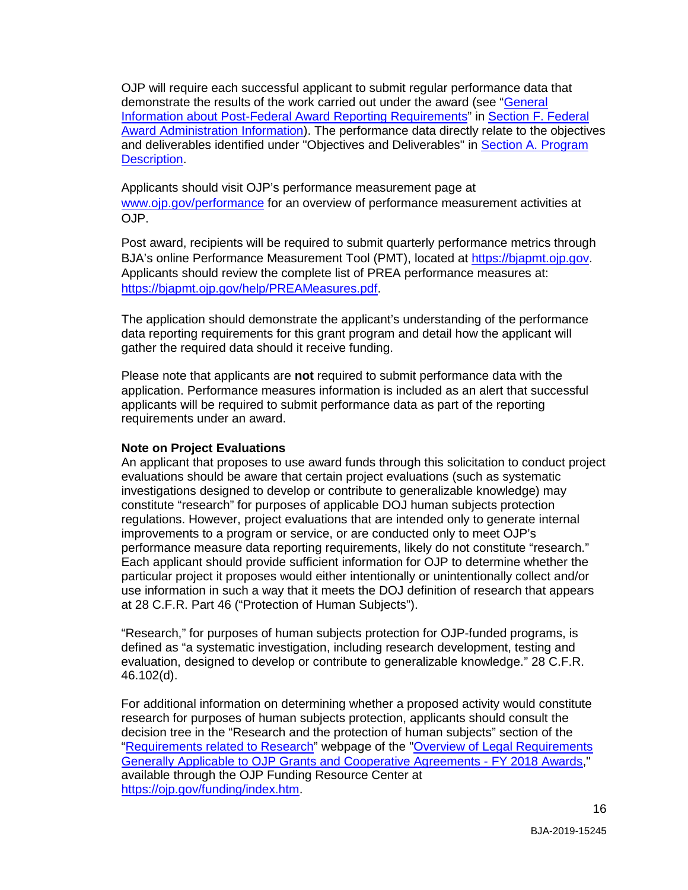OJP will require each successful applicant to submit regular performance data that demonstrate the results of the work carried out under the award (see ["General](#page-32-1)  [Information about Post-Federal Award Reporting Requirements"](#page-32-1) in [Section F. Federal](#page-31-2)  [Award Administration Information\)](#page-31-2). The performance data directly relate to the objectives and deliverables identified under "Objectives and Deliverables" in [Section A. Program](#page-3-0)  [Description.](#page-3-0)

Applicants should visit OJP's performance measurement page at [www.ojp.gov/performance](https://www.ojp.gov/performance) for an overview of performance measurement activities at OJP.

Post award, recipients will be required to submit quarterly performance metrics through BJA's online Performance Measurement Tool (PMT), located at [https://bjapmt.ojp.gov.](https://bjapmt.ojp.gov/) Applicants should review the complete list of PREA performance measures at: [https://bjapmt.ojp.gov/help/PREAMeasures.pdf.](https://bjapmt.ojp.gov/help/PREAMeasures.pdf)

The application should demonstrate the applicant's understanding of the performance data reporting requirements for this grant program and detail how the applicant will gather the required data should it receive funding.

Please note that applicants are **not** required to submit performance data with the application. Performance measures information is included as an alert that successful applicants will be required to submit performance data as part of the reporting requirements under an award.

#### **Note on Project Evaluations**

An applicant that proposes to use award funds through this solicitation to conduct project evaluations should be aware that certain project evaluations (such as systematic investigations designed to develop or contribute to generalizable knowledge) may constitute "research" for purposes of applicable DOJ human subjects protection regulations. However, project evaluations that are intended only to generate internal improvements to a program or service, or are conducted only to meet OJP's performance measure data reporting requirements, likely do not constitute "research." Each applicant should provide sufficient information for OJP to determine whether the particular project it proposes would either intentionally or unintentionally collect and/or use information in such a way that it meets the DOJ definition of research that appears at 28 C.F.R. Part 46 ("Protection of Human Subjects").

"Research," for purposes of human subjects protection for OJP-funded programs, is defined as "a systematic investigation, including research development, testing and evaluation, designed to develop or contribute to generalizable knowledge." 28 C.F.R. 46.102(d).

For additional information on determining whether a proposed activity would constitute research for purposes of human subjects protection, applicants should consult the decision tree in the "Research and the protection of human subjects" section of the ["Requirements related to Research"](https://ojp.gov/funding/Explore/SolicitationRequirements/EvidenceResearchEvaluationRequirements.htm) webpage of the "Overview of Legal Requirements [Generally Applicable to OJP Grants and Cooperative Agreements -](https://ojp.gov/funding/Explore/LegalOverview/index.htm) FY 2018 Awards," available through the OJP Funding Resource Center at [https://ojp.gov/funding/index.htm.](https://ojp.gov/funding/index.htm)

16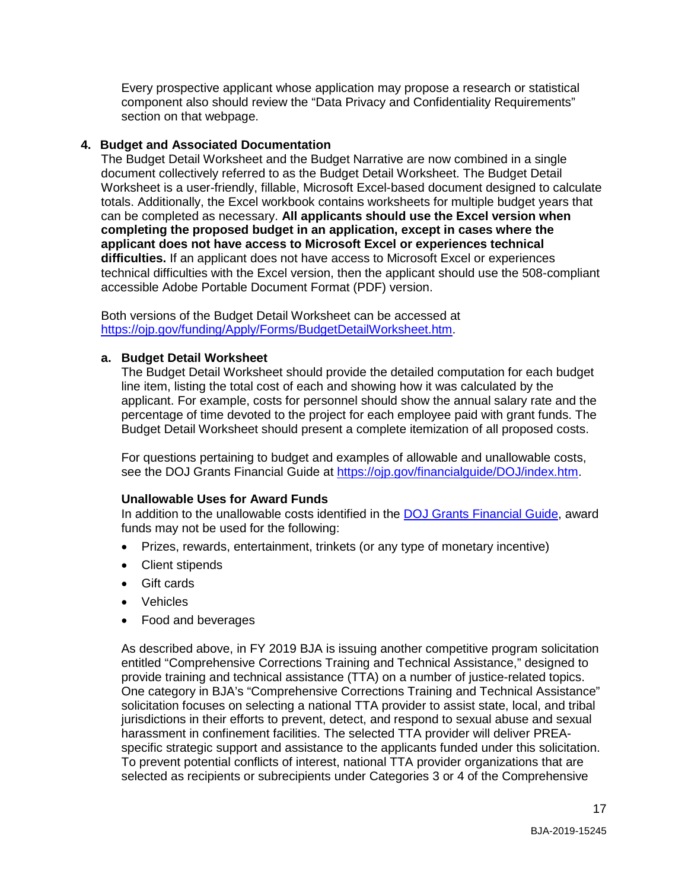Every prospective applicant whose application may propose a research or statistical component also should review the "Data Privacy and Confidentiality Requirements" section on that webpage.

#### **4. Budget and Associated Documentation**

The Budget Detail Worksheet and the Budget Narrative are now combined in a single document collectively referred to as the Budget Detail Worksheet. The Budget Detail Worksheet is a user-friendly, fillable, Microsoft Excel-based document designed to calculate totals. Additionally, the Excel workbook contains worksheets for multiple budget years that can be completed as necessary. **All applicants should use the Excel version when completing the proposed budget in an application, except in cases where the applicant does not have access to Microsoft Excel or experiences technical difficulties.** If an applicant does not have access to Microsoft Excel or experiences technical difficulties with the Excel version, then the applicant should use the 508-compliant accessible Adobe Portable Document Format (PDF) version.

Both versions of the Budget Detail Worksheet can be accessed at [https://ojp.gov/funding/Apply/Forms/BudgetDetailWorksheet.htm.](https://ojp.gov/funding/Apply/Forms/BudgetDetailWorksheet.htm)

#### **a. Budget Detail Worksheet**

The Budget Detail Worksheet should provide the detailed computation for each budget line item, listing the total cost of each and showing how it was calculated by the applicant. For example, costs for personnel should show the annual salary rate and the percentage of time devoted to the project for each employee paid with grant funds. The Budget Detail Worksheet should present a complete itemization of all proposed costs.

For questions pertaining to budget and examples of allowable and unallowable costs, see the DOJ Grants Financial Guide at [https://ojp.gov/financialguide/DOJ/index.htm.](https://ojp.gov/financialguide/DOJ/index.htm)

#### **Unallowable Uses for Award Funds**

In addition to the unallowable costs identified in the [DOJ Grants Financial Guide,](http://ojp.gov/financialguide/DOJ/index.htm) award funds may not be used for the following:

- Prizes, rewards, entertainment, trinkets (or any type of monetary incentive)
- Client stipends
- Gift cards
- Vehicles
- Food and beverages

As described above, in FY 2019 BJA is issuing another competitive program solicitation entitled "Comprehensive Corrections Training and Technical Assistance," designed to provide training and technical assistance (TTA) on a number of justice-related topics. One category in BJA's "Comprehensive Corrections Training and Technical Assistance" solicitation focuses on selecting a national TTA provider to assist state, local, and tribal jurisdictions in their efforts to prevent, detect, and respond to sexual abuse and sexual harassment in confinement facilities. The selected TTA provider will deliver PREAspecific strategic support and assistance to the applicants funded under this solicitation. To prevent potential conflicts of interest, national TTA provider organizations that are selected as recipients or subrecipients under Categories 3 or 4 of the Comprehensive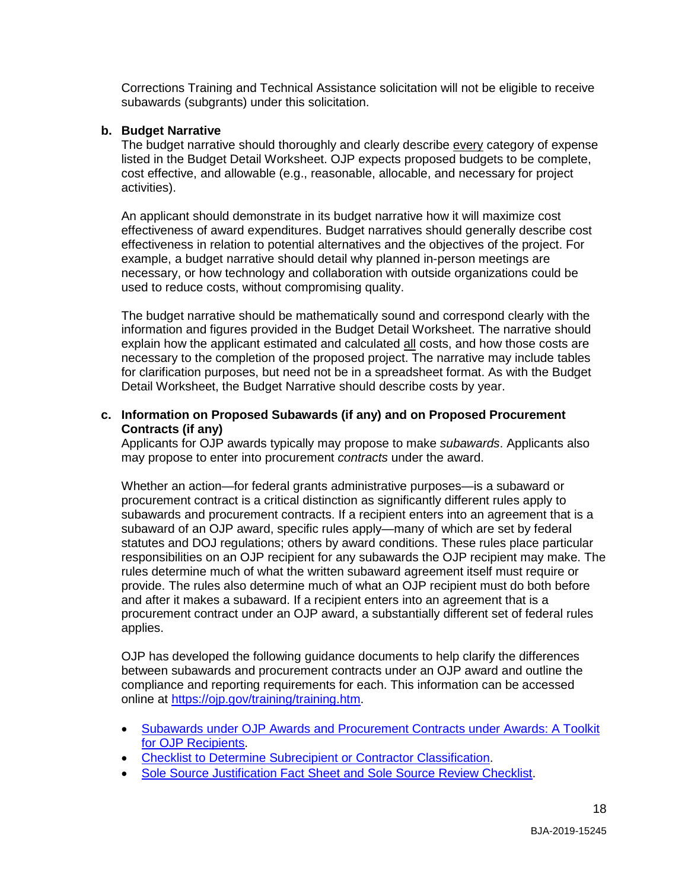Corrections Training and Technical Assistance solicitation will not be eligible to receive subawards (subgrants) under this solicitation.

#### **b. Budget Narrative**

The budget narrative should thoroughly and clearly describe every category of expense listed in the Budget Detail Worksheet. OJP expects proposed budgets to be complete, cost effective, and allowable (e.g., reasonable, allocable, and necessary for project activities).

An applicant should demonstrate in its budget narrative how it will maximize cost effectiveness of award expenditures. Budget narratives should generally describe cost effectiveness in relation to potential alternatives and the objectives of the project. For example, a budget narrative should detail why planned in-person meetings are necessary, or how technology and collaboration with outside organizations could be used to reduce costs, without compromising quality.

The budget narrative should be mathematically sound and correspond clearly with the information and figures provided in the Budget Detail Worksheet. The narrative should explain how the applicant estimated and calculated all costs, and how those costs are necessary to the completion of the proposed project. The narrative may include tables for clarification purposes, but need not be in a spreadsheet format. As with the Budget Detail Worksheet, the Budget Narrative should describe costs by year.

#### **c. Information on Proposed Subawards (if any) and on Proposed Procurement Contracts (if any)**

Applicants for OJP awards typically may propose to make *subawards*. Applicants also may propose to enter into procurement *contracts* under the award.

Whether an action—for federal grants administrative purposes—is a subaward or procurement contract is a critical distinction as significantly different rules apply to subawards and procurement contracts. If a recipient enters into an agreement that is a subaward of an OJP award, specific rules apply—many of which are set by federal statutes and DOJ regulations; others by award conditions. These rules place particular responsibilities on an OJP recipient for any subawards the OJP recipient may make. The rules determine much of what the written subaward agreement itself must require or provide. The rules also determine much of what an OJP recipient must do both before and after it makes a subaward. If a recipient enters into an agreement that is a procurement contract under an OJP award, a substantially different set of federal rules applies.

OJP has developed the following guidance documents to help clarify the differences between subawards and procurement contracts under an OJP award and outline the compliance and reporting requirements for each. This information can be accessed online at [https://ojp.gov/training/training.htm.](http://links.govdelivery.com/track?type=click&enid=ZWFzPTEmbXNpZD0mYXVpZD0mbWFpbGluZ2lkPTIwMTcwNzE3Ljc1OTkyNjAxJm1lc3NhZ2VpZD1NREItUFJELUJVTC0yMDE3MDcxNy43NTk5MjYwMSZkYXRhYmFzZWlkPTEwMDEmc2VyaWFsPTE3MDc5NDk3JmVtYWlsaWQ9bHVjeS5tdW5nbGVAb2pwLnVzZG9qLmdvdiZ1c2VyaWQ9bHVjeS5tdW5nbGVAb2pwLnVzZG9qLmdvdiZ0YXJnZXRpZD0mZmw9Jm12aWQ9JmV4dHJhPSYmJg==&&&100&&&https://ojp.gov/training/training.htm)

- [Subawards under OJP Awards and Procurement Contracts under Awards: A Toolkit](http://links.govdelivery.com/track?type=click&enid=ZWFzPTEmbXNpZD0mYXVpZD0mbWFpbGluZ2lkPTIwMTcwNzE3Ljc1OTkyNjAxJm1lc3NhZ2VpZD1NREItUFJELUJVTC0yMDE3MDcxNy43NTk5MjYwMSZkYXRhYmFzZWlkPTEwMDEmc2VyaWFsPTE3MDc5NDk3JmVtYWlsaWQ9bHVjeS5tdW5nbGVAb2pwLnVzZG9qLmdvdiZ1c2VyaWQ9bHVjeS5tdW5nbGVAb2pwLnVzZG9qLmdvdiZ0YXJnZXRpZD0mZmw9Jm12aWQ9JmV4dHJhPSYmJg==&&&101&&&https://ojp.gov/training/pdfs/Subaward-Procure-Toolkit-D.pdf)  [for OJP Recipients.](http://links.govdelivery.com/track?type=click&enid=ZWFzPTEmbXNpZD0mYXVpZD0mbWFpbGluZ2lkPTIwMTcwNzE3Ljc1OTkyNjAxJm1lc3NhZ2VpZD1NREItUFJELUJVTC0yMDE3MDcxNy43NTk5MjYwMSZkYXRhYmFzZWlkPTEwMDEmc2VyaWFsPTE3MDc5NDk3JmVtYWlsaWQ9bHVjeS5tdW5nbGVAb2pwLnVzZG9qLmdvdiZ1c2VyaWQ9bHVjeS5tdW5nbGVAb2pwLnVzZG9qLmdvdiZ0YXJnZXRpZD0mZmw9Jm12aWQ9JmV4dHJhPSYmJg==&&&101&&&https://ojp.gov/training/pdfs/Subaward-Procure-Toolkit-D.pdf)
- [Checklist to Determine Subrecipient or Contractor Classification.](http://links.govdelivery.com/track?type=click&enid=ZWFzPTEmbXNpZD0mYXVpZD0mbWFpbGluZ2lkPTIwMTcwNzE3Ljc1OTkyNjAxJm1lc3NhZ2VpZD1NREItUFJELUJVTC0yMDE3MDcxNy43NTk5MjYwMSZkYXRhYmFzZWlkPTEwMDEmc2VyaWFsPTE3MDc5NDk3JmVtYWlsaWQ9bHVjeS5tdW5nbGVAb2pwLnVzZG9qLmdvdiZ1c2VyaWQ9bHVjeS5tdW5nbGVAb2pwLnVzZG9qLmdvdiZ0YXJnZXRpZD0mZmw9Jm12aWQ9JmV4dHJhPSYmJg==&&&102&&&https://ojp.gov/training/pdfs/Subrecipient-Procure-cklist-B.pdf)
- [Sole Source Justification Fact Sheet and Sole Source Review Checklist.](http://links.govdelivery.com/track?type=click&enid=ZWFzPTEmbXNpZD0mYXVpZD0mbWFpbGluZ2lkPTIwMTcwNzE3Ljc1OTkyNjAxJm1lc3NhZ2VpZD1NREItUFJELUJVTC0yMDE3MDcxNy43NTk5MjYwMSZkYXRhYmFzZWlkPTEwMDEmc2VyaWFsPTE3MDc5NDk3JmVtYWlsaWQ9bHVjeS5tdW5nbGVAb2pwLnVzZG9qLmdvdiZ1c2VyaWQ9bHVjeS5tdW5nbGVAb2pwLnVzZG9qLmdvdiZ0YXJnZXRpZD0mZmw9Jm12aWQ9JmV4dHJhPSYmJg==&&&103&&&https://ojp.gov/training/pdfs/Sole-Source-FactSheet-C.pdf)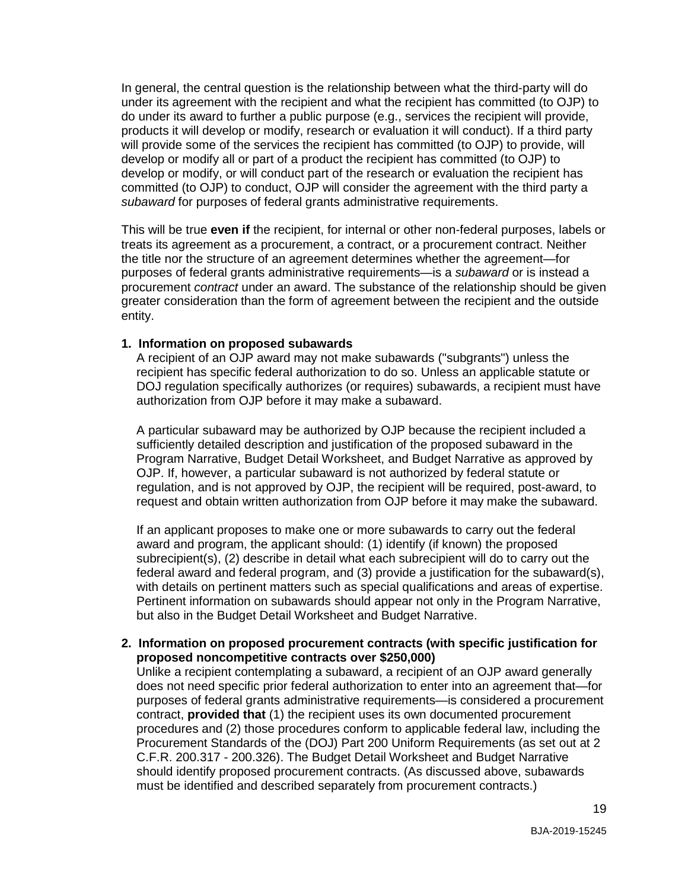In general, the central question is the relationship between what the third-party will do under its agreement with the recipient and what the recipient has committed (to OJP) to do under its award to further a public purpose (e.g., services the recipient will provide, products it will develop or modify, research or evaluation it will conduct). If a third party will provide some of the services the recipient has committed (to OJP) to provide, will develop or modify all or part of a product the recipient has committed (to OJP) to develop or modify, or will conduct part of the research or evaluation the recipient has committed (to OJP) to conduct, OJP will consider the agreement with the third party a *subaward* for purposes of federal grants administrative requirements.

This will be true **even if** the recipient, for internal or other non-federal purposes, labels or treats its agreement as a procurement, a contract, or a procurement contract. Neither the title nor the structure of an agreement determines whether the agreement—for purposes of federal grants administrative requirements—is a *subaward* or is instead a procurement *contract* under an award. The substance of the relationship should be given greater consideration than the form of agreement between the recipient and the outside entity.

#### **1. Information on proposed subawards**

A recipient of an OJP award may not make subawards ("subgrants") unless the recipient has specific federal authorization to do so. Unless an applicable statute or DOJ regulation specifically authorizes (or requires) subawards, a recipient must have authorization from OJP before it may make a subaward.

A particular subaward may be authorized by OJP because the recipient included a sufficiently detailed description and justification of the proposed subaward in the Program Narrative, Budget Detail Worksheet, and Budget Narrative as approved by OJP. If, however, a particular subaward is not authorized by federal statute or regulation, and is not approved by OJP, the recipient will be required, post-award, to request and obtain written authorization from OJP before it may make the subaward.

If an applicant proposes to make one or more subawards to carry out the federal award and program, the applicant should: (1) identify (if known) the proposed subrecipient(s), (2) describe in detail what each subrecipient will do to carry out the federal award and federal program, and (3) provide a justification for the subaward(s), with details on pertinent matters such as special qualifications and areas of expertise. Pertinent information on subawards should appear not only in the Program Narrative, but also in the Budget Detail Worksheet and Budget Narrative.

#### **2. Information on proposed procurement contracts (with specific justification for proposed noncompetitive contracts over \$250,000)**

Unlike a recipient contemplating a subaward, a recipient of an OJP award generally does not need specific prior federal authorization to enter into an agreement that—for purposes of federal grants administrative requirements—is considered a procurement contract, **provided that** (1) the recipient uses its own documented procurement procedures and (2) those procedures conform to applicable federal law, including the Procurement Standards of the (DOJ) Part 200 Uniform Requirements (as set out at 2 C.F.R. 200.317 - 200.326). The Budget Detail Worksheet and Budget Narrative should identify proposed procurement contracts. (As discussed above, subawards must be identified and described separately from procurement contracts.)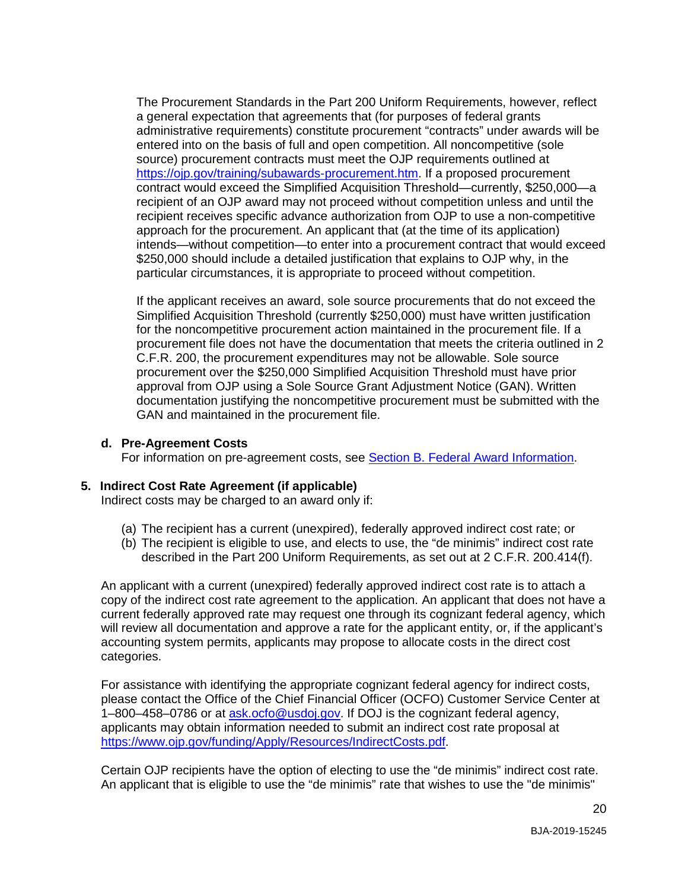The Procurement Standards in the Part 200 Uniform Requirements, however, reflect a general expectation that agreements that (for purposes of federal grants administrative requirements) constitute procurement "contracts" under awards will be entered into on the basis of full and open competition. All noncompetitive (sole source) procurement contracts must meet the OJP requirements outlined at [https://ojp.gov/training/subawards-procurement.htm.](https://ojp.gov/training/subawards-procurement.htm) If a proposed procurement contract would exceed the Simplified Acquisition Threshold—currently, \$250,000—a recipient of an OJP award may not proceed without competition unless and until the recipient receives specific advance authorization from OJP to use a non-competitive approach for the procurement. An applicant that (at the time of its application) intends—without competition—to enter into a procurement contract that would exceed \$250,000 should include a detailed justification that explains to OJP why, in the particular circumstances, it is appropriate to proceed without competition.

If the applicant receives an award, sole source procurements that do not exceed the Simplified Acquisition Threshold (currently \$250,000) must have written justification for the noncompetitive procurement action maintained in the procurement file. If a procurement file does not have the documentation that meets the criteria outlined in 2 C.F.R. 200, the procurement expenditures may not be allowable. Sole source procurement over the \$250,000 Simplified Acquisition Threshold must have prior approval from OJP using a Sole Source Grant Adjustment Notice (GAN). Written documentation justifying the noncompetitive procurement must be submitted with the GAN and maintained in the procurement file.

### **d. Pre-Agreement Costs**

For information on pre-agreement costs, see [Section B. Federal Award Information.](#page-8-1)

#### **5. Indirect Cost Rate Agreement (if applicable)**

Indirect costs may be charged to an award only if:

- (a) The recipient has a current (unexpired), federally approved indirect cost rate; or
- (b) The recipient is eligible to use, and elects to use, the "de minimis" indirect cost rate described in the Part 200 Uniform Requirements, as set out at 2 C.F.R. 200.414(f).

An applicant with a current (unexpired) federally approved indirect cost rate is to attach a copy of the indirect cost rate agreement to the application. An applicant that does not have a current federally approved rate may request one through its cognizant federal agency, which will review all documentation and approve a rate for the applicant entity, or, if the applicant's accounting system permits, applicants may propose to allocate costs in the direct cost categories.

For assistance with identifying the appropriate cognizant federal agency for indirect costs, please contact the Office of the Chief Financial Officer (OCFO) Customer Service Center at 1–800–458–0786 or at [ask.ocfo@usdoj.gov.](mailto:ask.ocfo@usdoj.gov) If DOJ is the cognizant federal agency, applicants may obtain information needed to submit an indirect cost rate proposal at [https://www.ojp.gov/funding/Apply/Resources/IndirectCosts.pdf.](https://www.ojp.gov/funding/Apply/Resources/IndirectCosts.pdf)

Certain OJP recipients have the option of electing to use the "de minimis" indirect cost rate. An applicant that is eligible to use the "de minimis" rate that wishes to use the "de minimis"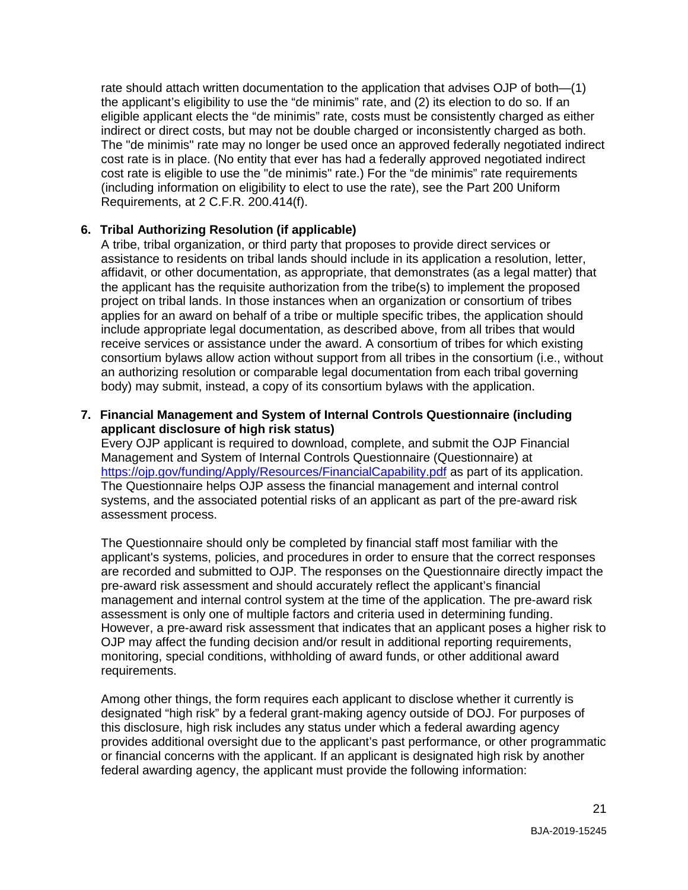rate should attach written documentation to the application that advises OJP of both—(1) the applicant's eligibility to use the "de minimis" rate, and (2) its election to do so. If an eligible applicant elects the "de minimis" rate, costs must be consistently charged as either indirect or direct costs, but may not be double charged or inconsistently charged as both. The "de minimis" rate may no longer be used once an approved federally negotiated indirect cost rate is in place. (No entity that ever has had a federally approved negotiated indirect cost rate is eligible to use the "de minimis" rate.) For the "de minimis" rate requirements (including information on eligibility to elect to use the rate), see the Part 200 Uniform Requirements, at 2 C.F.R. 200.414(f).

## **6. Tribal Authorizing Resolution (if applicable)**

A tribe, tribal organization, or third party that proposes to provide direct services or assistance to residents on tribal lands should include in its application a resolution, letter, affidavit, or other documentation, as appropriate, that demonstrates (as a legal matter) that the applicant has the requisite authorization from the tribe(s) to implement the proposed project on tribal lands. In those instances when an organization or consortium of tribes applies for an award on behalf of a tribe or multiple specific tribes, the application should include appropriate legal documentation, as described above, from all tribes that would receive services or assistance under the award. A consortium of tribes for which existing consortium bylaws allow action without support from all tribes in the consortium (i.e., without an authorizing resolution or comparable legal documentation from each tribal governing body) may submit, instead, a copy of its consortium bylaws with the application.

#### **7. Financial Management and System of Internal Controls Questionnaire (including applicant disclosure of high risk status)**

Every OJP applicant is required to download, complete, and submit the OJP Financial Management and System of Internal Controls Questionnaire (Questionnaire) at <https://ojp.gov/funding/Apply/Resources/FinancialCapability.pdf> as part of its application. The Questionnaire helps OJP assess the financial management and internal control systems, and the associated potential risks of an applicant as part of the pre-award risk assessment process.

The Questionnaire should only be completed by financial staff most familiar with the applicant's systems, policies, and procedures in order to ensure that the correct responses are recorded and submitted to OJP. The responses on the Questionnaire directly impact the pre-award risk assessment and should accurately reflect the applicant's financial management and internal control system at the time of the application. The pre-award risk assessment is only one of multiple factors and criteria used in determining funding. However, a pre-award risk assessment that indicates that an applicant poses a higher risk to OJP may affect the funding decision and/or result in additional reporting requirements, monitoring, special conditions, withholding of award funds, or other additional award requirements.

Among other things, the form requires each applicant to disclose whether it currently is designated "high risk" by a federal grant-making agency outside of DOJ. For purposes of this disclosure, high risk includes any status under which a federal awarding agency provides additional oversight due to the applicant's past performance, or other programmatic or financial concerns with the applicant. If an applicant is designated high risk by another federal awarding agency, the applicant must provide the following information: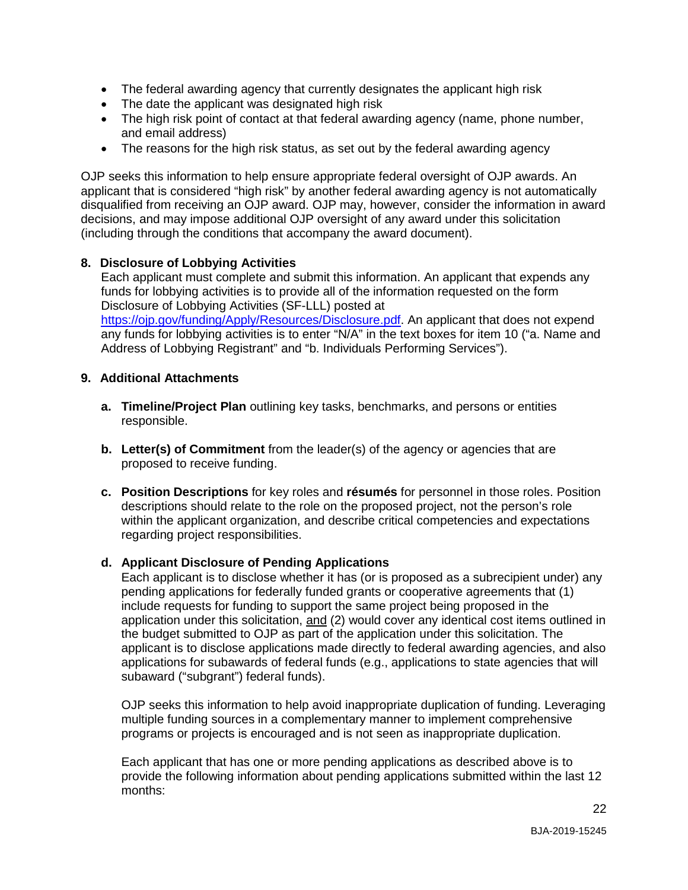- The federal awarding agency that currently designates the applicant high risk
- The date the applicant was designated high risk
- The high risk point of contact at that federal awarding agency (name, phone number, and email address)
- The reasons for the high risk status, as set out by the federal awarding agency

OJP seeks this information to help ensure appropriate federal oversight of OJP awards. An applicant that is considered "high risk" by another federal awarding agency is not automatically disqualified from receiving an OJP award. OJP may, however, consider the information in award decisions, and may impose additional OJP oversight of any award under this solicitation (including through the conditions that accompany the award document).

#### **8. Disclosure of Lobbying Activities**

Each applicant must complete and submit this information. An applicant that expends any funds for lobbying activities is to provide all of the information requested on the form Disclosure of Lobbying Activities (SF-LLL) posted at [https://ojp.gov/funding/Apply/Resources/Disclosure.pdf.](https://ojp.gov/funding/Apply/Resources/Disclosure.pdf) An applicant that does not expend any funds for lobbying activities is to enter "N/A" in the text boxes for item 10 ("a. Name and Address of Lobbying Registrant" and "b. Individuals Performing Services").

#### **9. Additional Attachments**

- <span id="page-21-0"></span>**a. Timeline/Project Plan** outlining key tasks, benchmarks, and persons or entities responsible.
- **b. Letter(s) of Commitment** from the leader(s) of the agency or agencies that are proposed to receive funding.
- <span id="page-21-1"></span>**c. Position Descriptions** for key roles and **résumés** for personnel in those roles. Position descriptions should relate to the role on the proposed project, not the person's role within the applicant organization, and describe critical competencies and expectations regarding project responsibilities.

#### **d. Applicant Disclosure of Pending Applications**

Each applicant is to disclose whether it has (or is proposed as a subrecipient under) any pending applications for federally funded grants or cooperative agreements that (1) include requests for funding to support the same project being proposed in the application under this solicitation, and (2) would cover any identical cost items outlined in the budget submitted to OJP as part of the application under this solicitation. The applicant is to disclose applications made directly to federal awarding agencies, and also applications for subawards of federal funds (e.g., applications to state agencies that will subaward ("subgrant") federal funds).

OJP seeks this information to help avoid inappropriate duplication of funding. Leveraging multiple funding sources in a complementary manner to implement comprehensive programs or projects is encouraged and is not seen as inappropriate duplication.

Each applicant that has one or more pending applications as described above is to provide the following information about pending applications submitted within the last 12 months: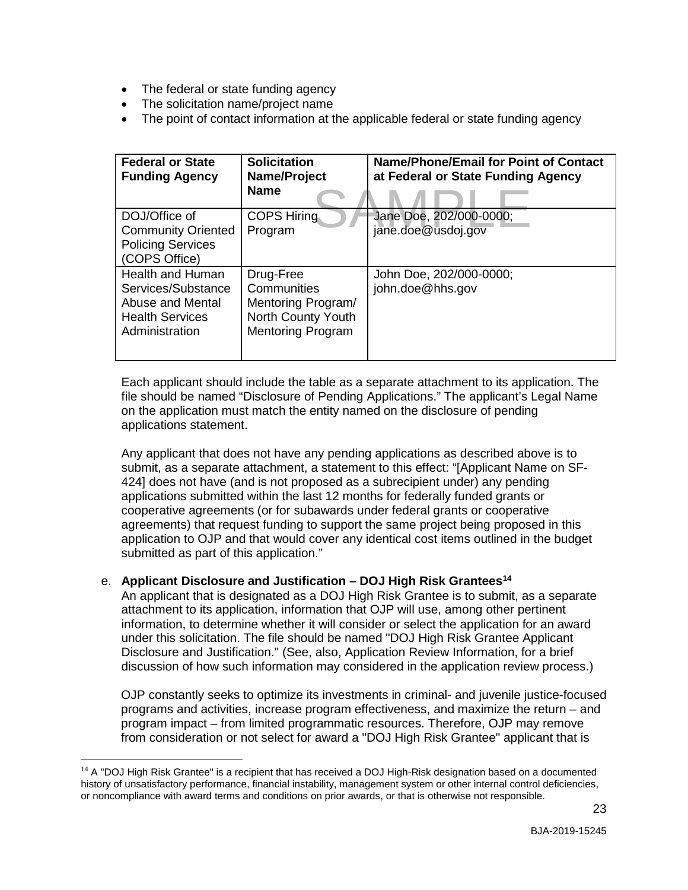- The federal or state funding agency
- The solicitation name/project name
- The point of contact information at the applicable federal or state funding agency

| <b>Federal or State</b><br><b>Funding Agency</b>                                                              | <b>Solicitation</b><br>Name/Project<br><b>Name</b>                                               | Name/Phone/Email for Point of Contact<br>at Federal or State Funding Agency |
|---------------------------------------------------------------------------------------------------------------|--------------------------------------------------------------------------------------------------|-----------------------------------------------------------------------------|
| DOJ/Office of<br><b>Community Oriented</b>                                                                    | <b>COPS Hiring</b><br>Program                                                                    | Jane Doe, 202/000-0000;<br>jane.doe@usdoj.gov                               |
| <b>Policing Services</b><br>(COPS Office)                                                                     |                                                                                                  |                                                                             |
| <b>Health and Human</b><br>Services/Substance<br>Abuse and Mental<br><b>Health Services</b><br>Administration | Drug-Free<br>Communities<br>Mentoring Program/<br>North County Youth<br><b>Mentoring Program</b> | John Doe, 202/000-0000;<br>john.doe@hhs.gov                                 |

Each applicant should include the table as a separate attachment to its application. The file should be named "Disclosure of Pending Applications." The applicant's Legal Name on the application must match the entity named on the disclosure of pending applications statement.

Any applicant that does not have any pending applications as described above is to submit, as a separate attachment, a statement to this effect: "[Applicant Name on SF-424] does not have (and is not proposed as a subrecipient under) any pending applications submitted within the last 12 months for federally funded grants or cooperative agreements (or for subawards under federal grants or cooperative agreements) that request funding to support the same project being proposed in this application to OJP and that would cover any identical cost items outlined in the budget submitted as part of this application."

#### e. **Applicant Disclosure and Justification – DOJ High Risk Grantees[14](#page-22-0)**

An applicant that is designated as a DOJ High Risk Grantee is to submit, as a separate attachment to its application, information that OJP will use, among other pertinent information, to determine whether it will consider or select the application for an award under this solicitation. The file should be named "DOJ High Risk Grantee Applicant Disclosure and Justification." (See, also, Application Review Information, for a brief discussion of how such information may considered in the application review process.)

OJP constantly seeks to optimize its investments in criminal- and juvenile justice-focused programs and activities, increase program effectiveness, and maximize the return – and program impact – from limited programmatic resources. Therefore, OJP may remove from consideration or not select for award a "DOJ High Risk Grantee" applicant that is

23

<span id="page-22-0"></span> $14$  A "DOJ High Risk Grantee" is a recipient that has received a DOJ High-Risk designation based on a documented history of unsatisfactory performance, financial instability, management system or other internal control deficiencies, or noncompliance with award terms and conditions on prior awards, or that is otherwise not responsible.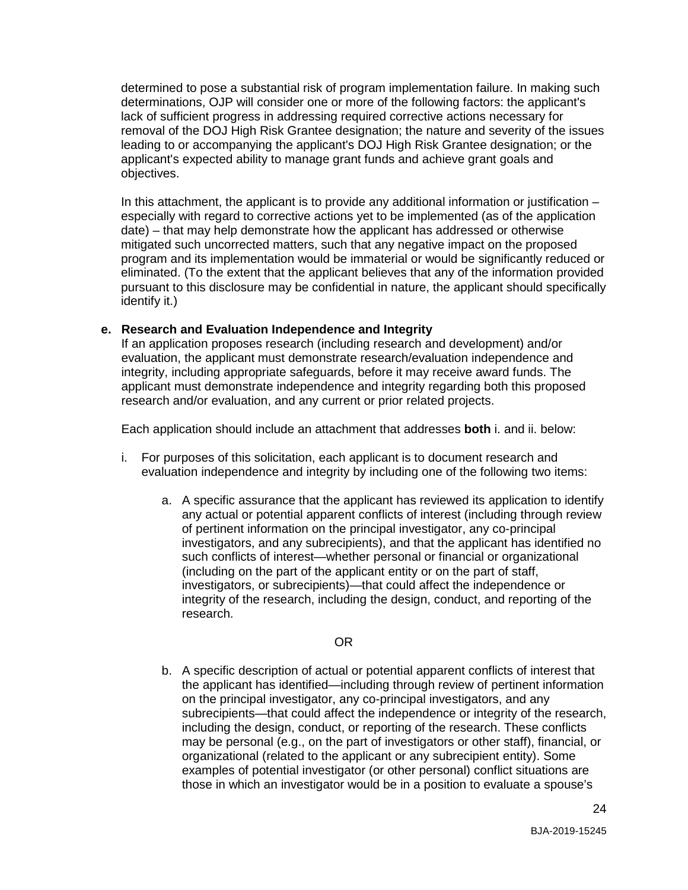determined to pose a substantial risk of program implementation failure. In making such determinations, OJP will consider one or more of the following factors: the applicant's lack of sufficient progress in addressing required corrective actions necessary for removal of the DOJ High Risk Grantee designation; the nature and severity of the issues leading to or accompanying the applicant's DOJ High Risk Grantee designation; or the applicant's expected ability to manage grant funds and achieve grant goals and objectives.

In this attachment, the applicant is to provide any additional information or justification – especially with regard to corrective actions yet to be implemented (as of the application date) – that may help demonstrate how the applicant has addressed or otherwise mitigated such uncorrected matters, such that any negative impact on the proposed program and its implementation would be immaterial or would be significantly reduced or eliminated. (To the extent that the applicant believes that any of the information provided pursuant to this disclosure may be confidential in nature, the applicant should specifically identify it.)

#### **e. Research and Evaluation Independence and Integrity**

If an application proposes research (including research and development) and/or evaluation, the applicant must demonstrate research/evaluation independence and integrity, including appropriate safeguards, before it may receive award funds. The applicant must demonstrate independence and integrity regarding both this proposed research and/or evaluation, and any current or prior related projects.

Each application should include an attachment that addresses **both** i. and ii. below:

- i. For purposes of this solicitation, each applicant is to document research and evaluation independence and integrity by including one of the following two items:
	- a. A specific assurance that the applicant has reviewed its application to identify any actual or potential apparent conflicts of interest (including through review of pertinent information on the principal investigator, any co-principal investigators, and any subrecipients), and that the applicant has identified no such conflicts of interest—whether personal or financial or organizational (including on the part of the applicant entity or on the part of staff, investigators, or subrecipients)—that could affect the independence or integrity of the research, including the design, conduct, and reporting of the research.

#### OR

b. A specific description of actual or potential apparent conflicts of interest that the applicant has identified—including through review of pertinent information on the principal investigator, any co-principal investigators, and any subrecipients—that could affect the independence or integrity of the research, including the design, conduct, or reporting of the research. These conflicts may be personal (e.g., on the part of investigators or other staff), financial, or organizational (related to the applicant or any subrecipient entity). Some examples of potential investigator (or other personal) conflict situations are those in which an investigator would be in a position to evaluate a spouse's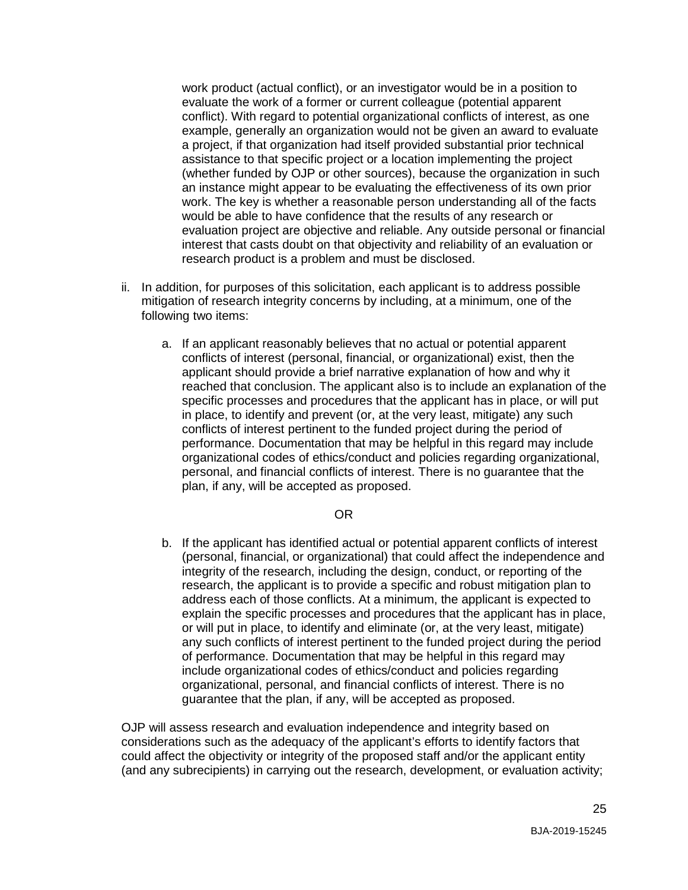work product (actual conflict), or an investigator would be in a position to evaluate the work of a former or current colleague (potential apparent conflict). With regard to potential organizational conflicts of interest, as one example, generally an organization would not be given an award to evaluate a project, if that organization had itself provided substantial prior technical assistance to that specific project or a location implementing the project (whether funded by OJP or other sources), because the organization in such an instance might appear to be evaluating the effectiveness of its own prior work. The key is whether a reasonable person understanding all of the facts would be able to have confidence that the results of any research or evaluation project are objective and reliable. Any outside personal or financial interest that casts doubt on that objectivity and reliability of an evaluation or research product is a problem and must be disclosed.

- ii. In addition, for purposes of this solicitation, each applicant is to address possible mitigation of research integrity concerns by including, at a minimum, one of the following two items:
	- a. If an applicant reasonably believes that no actual or potential apparent conflicts of interest (personal, financial, or organizational) exist, then the applicant should provide a brief narrative explanation of how and why it reached that conclusion. The applicant also is to include an explanation of the specific processes and procedures that the applicant has in place, or will put in place, to identify and prevent (or, at the very least, mitigate) any such conflicts of interest pertinent to the funded project during the period of performance. Documentation that may be helpful in this regard may include organizational codes of ethics/conduct and policies regarding organizational, personal, and financial conflicts of interest. There is no guarantee that the plan, if any, will be accepted as proposed.

OR

b. If the applicant has identified actual or potential apparent conflicts of interest (personal, financial, or organizational) that could affect the independence and integrity of the research, including the design, conduct, or reporting of the research, the applicant is to provide a specific and robust mitigation plan to address each of those conflicts. At a minimum, the applicant is expected to explain the specific processes and procedures that the applicant has in place, or will put in place, to identify and eliminate (or, at the very least, mitigate) any such conflicts of interest pertinent to the funded project during the period of performance. Documentation that may be helpful in this regard may include organizational codes of ethics/conduct and policies regarding organizational, personal, and financial conflicts of interest. There is no guarantee that the plan, if any, will be accepted as proposed.

OJP will assess research and evaluation independence and integrity based on considerations such as the adequacy of the applicant's efforts to identify factors that could affect the objectivity or integrity of the proposed staff and/or the applicant entity (and any subrecipients) in carrying out the research, development, or evaluation activity;

25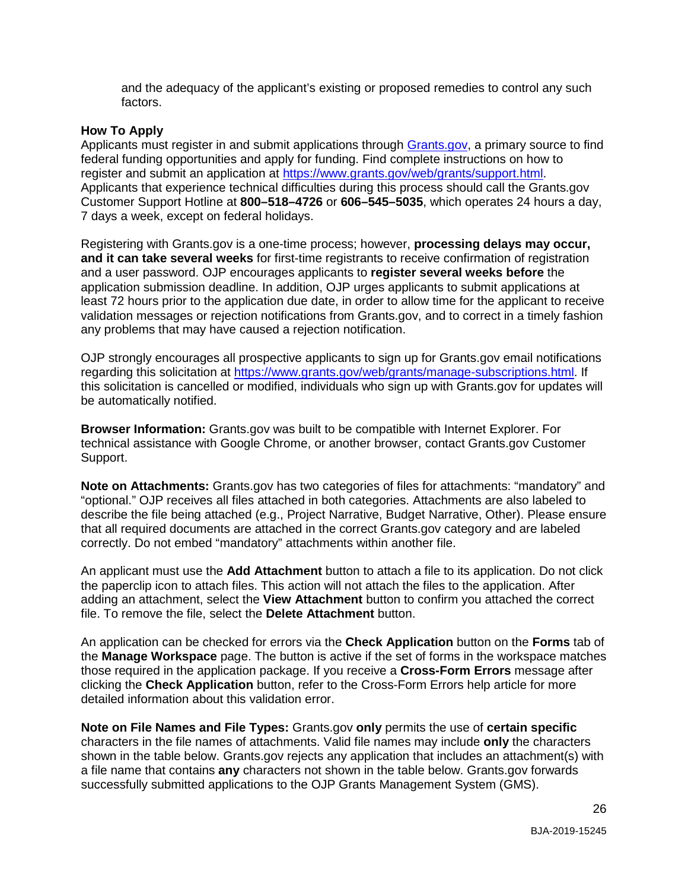and the adequacy of the applicant's existing or proposed remedies to control any such factors.

#### <span id="page-25-0"></span>**How To Apply**

Applicants must register in and submit applications through [Grants.gov,](https://www.grants.gov/) a primary source to find federal funding opportunities and apply for funding. Find complete instructions on how to register and submit an application at [https://www.grants.gov/web/grants/support.html.](https://www.grants.gov/web/grants/support.html) Applicants that experience technical difficulties during this process should call the Grants.gov Customer Support Hotline at **800–518–4726** or **606–545–5035**, which operates 24 hours a day, 7 days a week, except on federal holidays.

Registering with Grants.gov is a one-time process; however, **processing delays may occur, and it can take several weeks** for first-time registrants to receive confirmation of registration and a user password. OJP encourages applicants to **register several weeks before** the application submission deadline. In addition, OJP urges applicants to submit applications at least 72 hours prior to the application due date, in order to allow time for the applicant to receive validation messages or rejection notifications from Grants.gov, and to correct in a timely fashion any problems that may have caused a rejection notification.

OJP strongly encourages all prospective applicants to sign up for Grants.gov email notifications regarding this solicitation at [https://www.grants.gov/web/grants/manage-subscriptions.html.](https://www.grants.gov/web/grants/manage-subscriptions.html) If this solicitation is cancelled or modified, individuals who sign up with Grants.gov for updates will be automatically notified.

**Browser Information:** Grants.gov was built to be compatible with Internet Explorer. For technical assistance with Google Chrome, or another browser, contact Grants.gov Customer Support.

**Note on Attachments:** Grants.gov has two categories of files for attachments: "mandatory" and "optional." OJP receives all files attached in both categories. Attachments are also labeled to describe the file being attached (e.g., Project Narrative, Budget Narrative, Other). Please ensure that all required documents are attached in the correct Grants.gov category and are labeled correctly. Do not embed "mandatory" attachments within another file.

An applicant must use the **Add Attachment** button to attach a file to its application. Do not click the paperclip icon to attach files. This action will not attach the files to the application. After adding an attachment, select the **View Attachment** button to confirm you attached the correct file. To remove the file, select the **Delete Attachment** button.

An application can be checked for errors via the **Check Application** button on the **Forms** tab of the **Manage Workspace** page. The button is active if the set of forms in the workspace matches those required in the application package. If you receive a **Cross-Form Errors** message after clicking the **Check Application** button, refer to the Cross-Form Errors help article for more detailed information about this validation error.

**Note on File Names and File Types:** Grants.gov **only** permits the use of **certain specific** characters in the file names of attachments. Valid file names may include **only** the characters shown in the table below. Grants.gov rejects any application that includes an attachment(s) with a file name that contains **any** characters not shown in the table below. Grants.gov forwards successfully submitted applications to the OJP Grants Management System (GMS).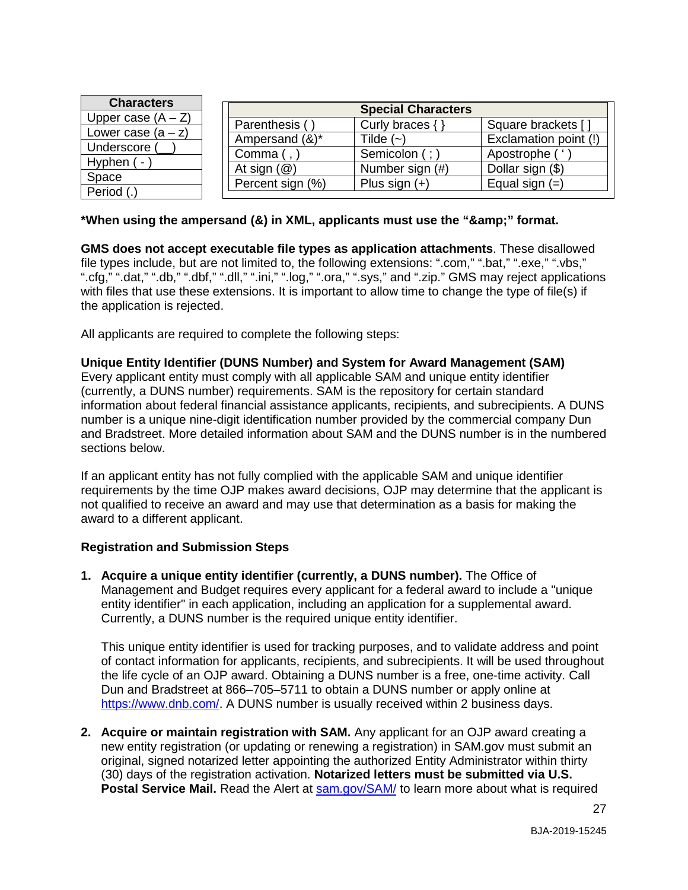| <b>Characters</b>    |                         |                           |                       |  |
|----------------------|-------------------------|---------------------------|-----------------------|--|
|                      |                         | <b>Special Characters</b> |                       |  |
| Upper case $(A - Z)$ | Parenthesis (           | Curly braces $\{ \}$      | Square brackets [     |  |
| Lower case $(a - z)$ | Ampersand (&)*          | Tilde $(-)$               | Exclamation point (!) |  |
| Underscore (         | Comma (,                | Semicolon (:              | Apostrophe (          |  |
| Hyphen (-            | At sign $(\mathcal{Q})$ | Number sign (#)           | Dollar sign (\$)      |  |
| Space                | Percent sign (%)        | Plus sign $(+)$           | Equal sign $(=)$      |  |
| Period (.            |                         |                           |                       |  |

#### \*When using the ampersand (&) in XML, applicants must use the "&" format.

**GMS does not accept executable file types as application attachments**. These disallowed file types include, but are not limited to, the following extensions: ".com," ".bat," ".exe," ".vbs," ".cfg," ".dat," ".db," ".dbf," ".dll," ".ini," ".log," ".ora," ".sys," and ".zip." GMS may reject applications with files that use these extensions. It is important to allow time to change the type of file(s) if the application is rejected.

All applicants are required to complete the following steps:

**Unique Entity Identifier (DUNS Number) and System for Award Management (SAM)** Every applicant entity must comply with all applicable SAM and unique entity identifier (currently, a DUNS number) requirements. SAM is the repository for certain standard information about federal financial assistance applicants, recipients, and subrecipients. A DUNS number is a unique nine-digit identification number provided by the commercial company Dun and Bradstreet. More detailed information about SAM and the DUNS number is in the numbered sections below.

If an applicant entity has not fully complied with the applicable SAM and unique identifier requirements by the time OJP makes award decisions, OJP may determine that the applicant is not qualified to receive an award and may use that determination as a basis for making the award to a different applicant.

#### **Registration and Submission Steps**

**1. Acquire a unique entity identifier (currently, a DUNS number).** The Office of Management and Budget requires every applicant for a federal award to include a "unique entity identifier" in each application, including an application for a supplemental award. Currently, a DUNS number is the required unique entity identifier.

This unique entity identifier is used for tracking purposes, and to validate address and point of contact information for applicants, recipients, and subrecipients. It will be used throughout the life cycle of an OJP award. Obtaining a DUNS number is a free, one-time activity. Call Dun and Bradstreet at 866–705–5711 to obtain a DUNS number or apply online at [https://www.dnb.com/.](https://www.dnb.com/) A DUNS number is usually received within 2 business days.

**2. Acquire or maintain registration with SAM.** Any applicant for an OJP award creating a new entity registration (or updating or renewing a registration) in SAM.gov must submit an original, signed notarized letter appointing the authorized Entity Administrator within thirty (30) days of the registration activation. **Notarized letters must be submitted via U.S. Postal Service Mail.** Read the Alert at [sam.gov/SAM/](https://sam.gov/SAM/) to learn more about what is required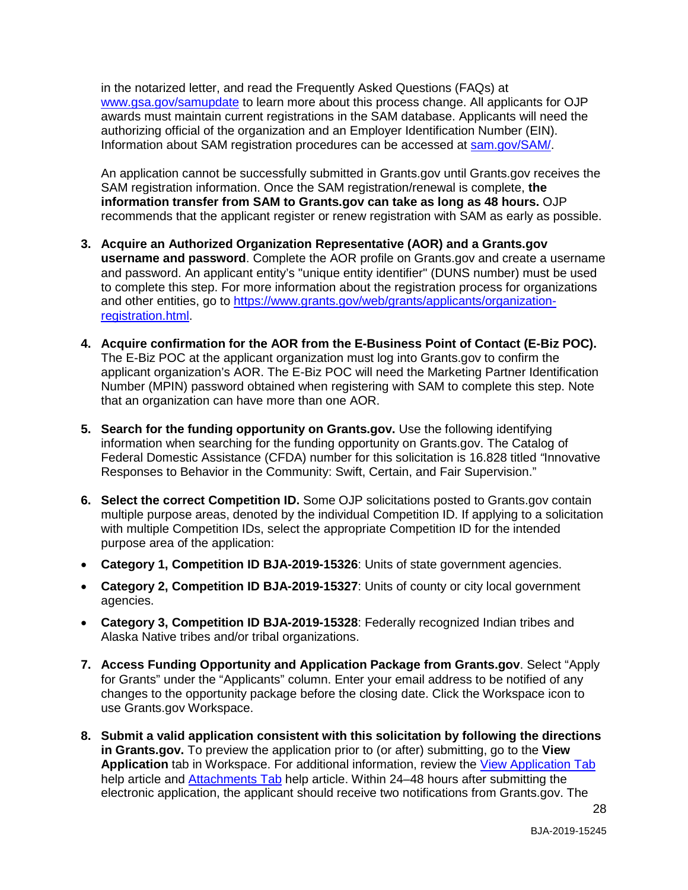in the notarized letter, and read the Frequently Asked Questions (FAQs) at [www.gsa.gov/samupdate](https://www.gsa.gov/samupdate) to learn more about this process change. All applicants for OJP awards must maintain current registrations in the SAM database. Applicants will need the authorizing official of the organization and an Employer Identification Number (EIN). Information about SAM registration procedures can be accessed at [sam.gov/SAM/.](https://sam.gov/SAM/)

An application cannot be successfully submitted in Grants.gov until Grants.gov receives the SAM registration information. Once the SAM registration/renewal is complete, **the information transfer from SAM to Grants.gov can take as long as 48 hours.** OJP recommends that the applicant register or renew registration with SAM as early as possible.

- **3. Acquire an Authorized Organization Representative (AOR) and a Grants.gov username and password**. Complete the AOR profile on Grants.gov and create a username and password. An applicant entity's "unique entity identifier" (DUNS number) must be used to complete this step. For more information about the registration process for organizations and other entities, go to [https://www.grants.gov/web/grants/applicants/organization](https://www.grants.gov/web/grants/applicants/organization-registration.html)[registration.html.](https://www.grants.gov/web/grants/applicants/organization-registration.html)
- **4. Acquire confirmation for the AOR from the E-Business Point of Contact (E-Biz POC).**  The E-Biz POC at the applicant organization must log into Grants.gov to confirm the applicant organization's AOR. The E-Biz POC will need the Marketing Partner Identification Number (MPIN) password obtained when registering with SAM to complete this step. Note that an organization can have more than one AOR.
- **5. Search for the funding opportunity on Grants.gov.** Use the following identifying information when searching for the funding opportunity on Grants.gov. The Catalog of Federal Domestic Assistance (CFDA) number for this solicitation is 16.828 titled *"*Innovative Responses to Behavior in the Community: Swift, Certain, and Fair Supervision."
- **6. Select the correct Competition ID.** Some OJP solicitations posted to Grants.gov contain multiple purpose areas, denoted by the individual Competition ID. If applying to a solicitation with multiple Competition IDs, select the appropriate Competition ID for the intended purpose area of the application:
- **Category 1, Competition ID BJA-2019-15326**: Units of state government agencies.
- **Category 2, Competition ID BJA-2019-15327**: Units of county or city local government agencies.
- **Category 3, Competition ID BJA-2019-15328**: Federally recognized Indian tribes and Alaska Native tribes and/or tribal organizations.
- **7. Access Funding Opportunity and Application Package from Grants.gov**. Select "Apply for Grants" under the "Applicants" column. Enter your email address to be notified of any changes to the opportunity package before the closing date. Click the Workspace icon to use Grants.gov Workspace.
- **8. Submit a valid application consistent with this solicitation by following the directions in Grants.gov.** To preview the application prior to (or after) submitting, go to the **View Application** tab in Workspace. For additional information, review the [View Application Tab](https://www.grants.gov/help/html/help/ManageWorkspaces/ViewApplicationTab.htm) help article and **Attachments Tab** help article. Within 24–48 hours after submitting the electronic application, the applicant should receive two notifications from Grants.gov. The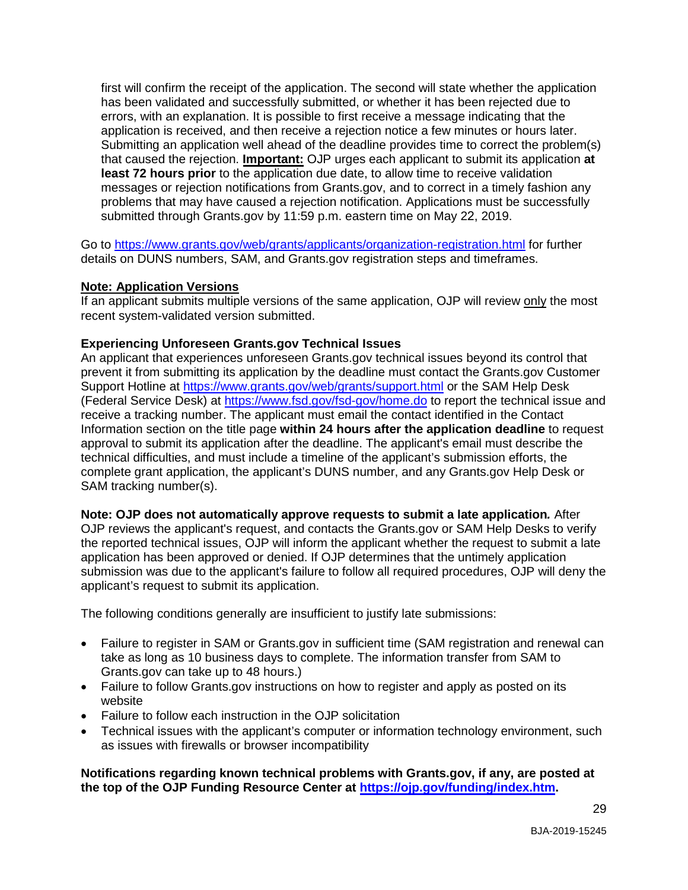first will confirm the receipt of the application. The second will state whether the application has been validated and successfully submitted, or whether it has been rejected due to errors, with an explanation. It is possible to first receive a message indicating that the application is received, and then receive a rejection notice a few minutes or hours later. Submitting an application well ahead of the deadline provides time to correct the problem(s) that caused the rejection. **Important:** OJP urges each applicant to submit its application **at least 72 hours prior** to the application due date, to allow time to receive validation messages or rejection notifications from Grants.gov, and to correct in a timely fashion any problems that may have caused a rejection notification. Applications must be successfully submitted through Grants.gov by 11:59 p.m. eastern time on May 22, 2019.

Go to<https://www.grants.gov/web/grants/applicants/organization-registration.html>for further details on DUNS numbers, SAM, and Grants.gov registration steps and timeframes.

#### **Note: Application Versions**

 recent system-validated version submitted. If an applicant submits multiple versions of the same application, OJP will review only the most

#### **Experiencing Unforeseen Grants.gov Technical Issues**

Support Hotline at<https://www.grants.gov/web/grants/support.html>or the SAM Help Desk An applicant that experiences unforeseen Grants.gov technical issues beyond its control that prevent it from submitting its application by the deadline must contact the Grants.gov Customer (Federal Service Desk) at<https://www.fsd.gov/fsd-gov/home.do>to report the technical issue and receive a tracking number. The applicant must email the contact identified in the Contact Information section on the title page **within 24 hours after the application deadline** to request approval to submit its application after the deadline. The applicant's email must describe the technical difficulties, and must include a timeline of the applicant's submission efforts, the complete grant application, the applicant's DUNS number, and any Grants.gov Help Desk or SAM tracking number(s).

#### **Note: OJP does not automatically approve requests to submit a late application***.* After

 applicant's request to submit its application. OJP reviews the applicant's request, and contacts the Grants.gov or SAM Help Desks to verify the reported technical issues, OJP will inform the applicant whether the request to submit a late application has been approved or denied. If OJP determines that the untimely application submission was due to the applicant's failure to follow all required procedures, OJP will deny the

The following conditions generally are insufficient to justify late submissions:

- take as long as 10 business days to complete. The information transfer from SAM to • Failure to register in SAM or Grants.gov in sufficient time (SAM registration and renewal can Grants.gov can take up to 48 hours.)
- Failure to follow Grants.gov instructions on how to register and apply as posted on its website
- Failure to follow each instruction in the OJP solicitation
- Technical issues with the applicant's computer or information technology environment, such as issues with firewalls or browser incompatibility

 **the top of the OJP Funding Resource Center at [https://ojp.gov/funding/index.htm.](https://ojp.gov/funding/index.htm) Notifications regarding known technical problems with Grants.gov, if any, are posted at**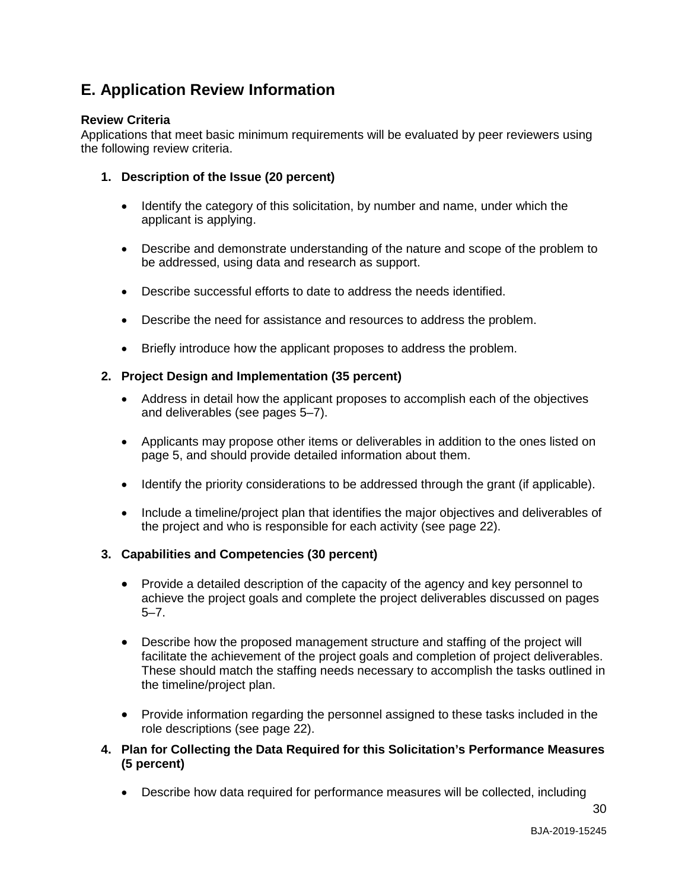# <span id="page-29-0"></span>**E. Application Review Information**

#### <span id="page-29-1"></span>**Review Criteria**

Applications that meet basic minimum requirements will be evaluated by peer reviewers using the following review criteria.

- **1. Description of the Issue (20 percent)**
	- Identify the category of this solicitation, by number and name, under which the applicant is applying.
	- Describe and demonstrate understanding of the nature and scope of the problem to be addressed, using data and research as support.
	- Describe successful efforts to date to address the needs identified.
	- Describe the need for assistance and resources to address the problem.
	- Briefly introduce how the applicant proposes to address the problem.

#### **2. Project Design and Implementation (35 percent)**

- Address in detail how the applicant proposes to accomplish each of the objectives and deliverables (see pages 5–7).
- Applicants may propose other items or deliverables in addition to the ones listed on page 5, and should provide detailed information about them.
- Identify the priority considerations to be addressed through the grant (if applicable).
- Include a timeline/project plan that identifies the major objectives and deliverables of the project and who is responsible for each activity (see page [22\)](#page-21-0).

#### **3. Capabilities and Competencies (30 percent)**

- Provide a detailed description of the capacity of the agency and key personnel to achieve the project goals and complete the project deliverables discussed on pages 5–7.
- Describe how the proposed management structure and staffing of the project will facilitate the achievement of the project goals and completion of project deliverables. These should match the staffing needs necessary to accomplish the tasks outlined in the timeline/project plan.
- Provide information regarding the personnel assigned to these tasks included in the role descriptions (see page [22\)](#page-21-1).
- **4. Plan for Collecting the Data Required for this Solicitation's Performance Measures (5 percent)**
	- Describe how data required for performance measures will be collected, including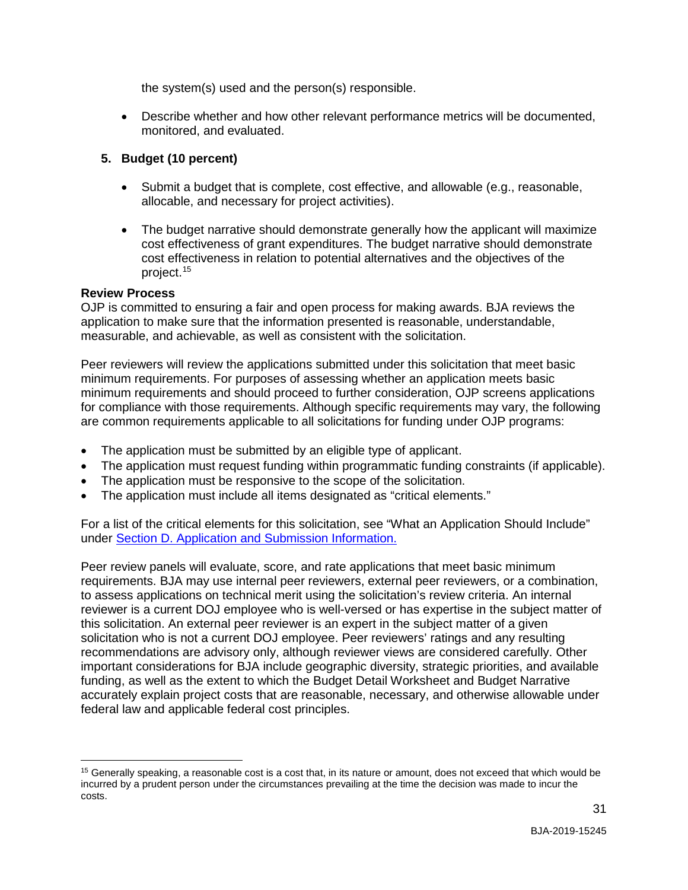the system(s) used and the person(s) responsible.

• Describe whether and how other relevant performance metrics will be documented, monitored, and evaluated.

## **5. Budget (10 percent)**

- Submit a budget that is complete, cost effective, and allowable (e.g., reasonable, allocable, and necessary for project activities).
- The budget narrative should demonstrate generally how the applicant will maximize cost effectiveness of grant expenditures. The budget narrative should demonstrate cost effectiveness in relation to potential alternatives and the objectives of the project. [15](#page-30-1)

#### <span id="page-30-0"></span>**Review Process**

 $\overline{a}$ 

OJP is committed to ensuring a fair and open process for making awards. BJA reviews the application to make sure that the information presented is reasonable, understandable, measurable, and achievable, as well as consistent with the solicitation.

Peer reviewers will review the applications submitted under this solicitation that meet basic minimum requirements. For purposes of assessing whether an application meets basic minimum requirements and should proceed to further consideration, OJP screens applications for compliance with those requirements. Although specific requirements may vary, the following are common requirements applicable to all solicitations for funding under OJP programs:

- The application must be submitted by an eligible type of applicant.
- The application must request funding within programmatic funding constraints (if applicable).
- The application must be responsive to the scope of the solicitation.
- The application must include all items designated as "critical elements."

For a list of the critical elements for this solicitation, see "What an Application Should Include" under [Section D. Application and Submission Information.](#page-13-0)

Peer review panels will evaluate, score, and rate applications that meet basic minimum requirements. BJA may use internal peer reviewers, external peer reviewers, or a combination, to assess applications on technical merit using the solicitation's review criteria. An internal reviewer is a current DOJ employee who is well-versed or has expertise in the subject matter of this solicitation. An external peer reviewer is an expert in the subject matter of a given solicitation who is not a current DOJ employee. Peer reviewers' ratings and any resulting recommendations are advisory only, although reviewer views are considered carefully. Other important considerations for BJA include geographic diversity, strategic priorities, and available funding, as well as the extent to which the Budget Detail Worksheet and Budget Narrative accurately explain project costs that are reasonable, necessary, and otherwise allowable under federal law and applicable federal cost principles.

31

<span id="page-30-1"></span> $15$  Generally speaking, a reasonable cost is a cost that, in its nature or amount, does not exceed that which would be incurred by a prudent person under the circumstances prevailing at the time the decision was made to incur the costs.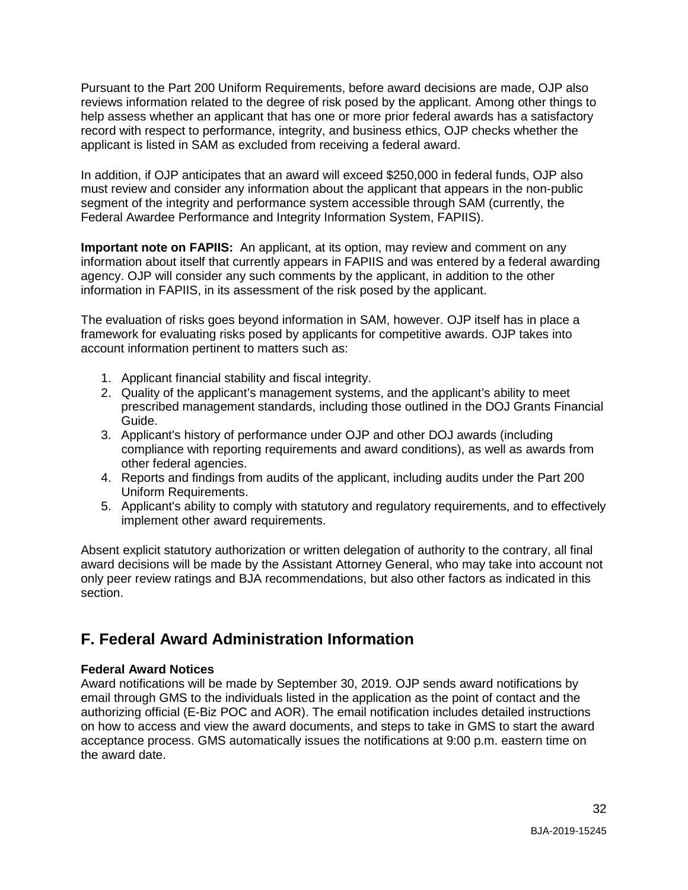Pursuant to the Part 200 Uniform Requirements, before award decisions are made, OJP also reviews information related to the degree of risk posed by the applicant. Among other things to help assess whether an applicant that has one or more prior federal awards has a satisfactory record with respect to performance, integrity, and business ethics, OJP checks whether the applicant is listed in SAM as excluded from receiving a federal award.

In addition, if OJP anticipates that an award will exceed \$250,000 in federal funds, OJP also must review and consider any information about the applicant that appears in the non-public segment of the integrity and performance system accessible through SAM (currently, the Federal Awardee Performance and Integrity Information System, FAPIIS).

**Important note on FAPIIS:** An applicant, at its option, may review and comment on any information about itself that currently appears in FAPIIS and was entered by a federal awarding agency. OJP will consider any such comments by the applicant, in addition to the other information in FAPIIS, in its assessment of the risk posed by the applicant.

The evaluation of risks goes beyond information in SAM, however. OJP itself has in place a framework for evaluating risks posed by applicants for competitive awards. OJP takes into account information pertinent to matters such as:

- 1. Applicant financial stability and fiscal integrity.
- 2. Quality of the applicant's management systems, and the applicant's ability to meet prescribed management standards, including those outlined in the DOJ Grants Financial Guide.
- 3. Applicant's history of performance under OJP and other DOJ awards (including compliance with reporting requirements and award conditions), as well as awards from other federal agencies.
- 4. Reports and findings from audits of the applicant, including audits under the Part 200 Uniform Requirements.
- 5. Applicant's ability to comply with statutory and regulatory requirements, and to effectively implement other award requirements.

Absent explicit statutory authorization or written delegation of authority to the contrary, all final award decisions will be made by the Assistant Attorney General, who may take into account not only peer review ratings and BJA recommendations, but also other factors as indicated in this section.

# <span id="page-31-2"></span><span id="page-31-0"></span>**F. Federal Award Administration Information**

## <span id="page-31-1"></span>**Federal Award Notices**

Award notifications will be made by September 30, 2019. OJP sends award notifications by email through GMS to the individuals listed in the application as the point of contact and the authorizing official (E-Biz POC and AOR). The email notification includes detailed instructions on how to access and view the award documents, and steps to take in GMS to start the award acceptance process. GMS automatically issues the notifications at 9:00 p.m. eastern time on the award date.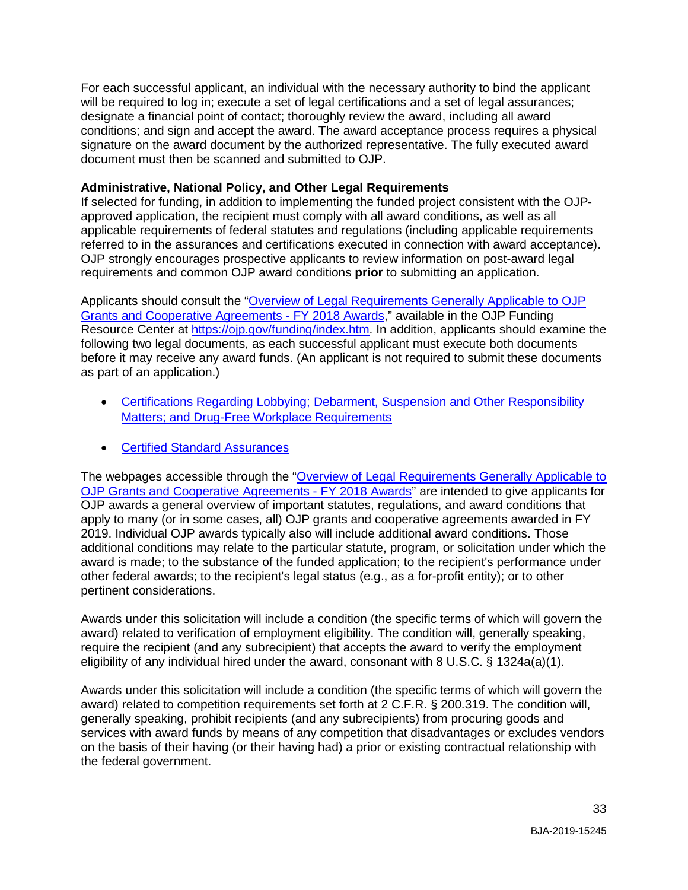For each successful applicant, an individual with the necessary authority to bind the applicant will be required to log in; execute a set of legal certifications and a set of legal assurances; designate a financial point of contact; thoroughly review the award, including all award conditions; and sign and accept the award. The award acceptance process requires a physical signature on the award document by the authorized representative. The fully executed award document must then be scanned and submitted to OJP.

#### <span id="page-32-0"></span>**Administrative, National Policy, and Other Legal Requirements**

If selected for funding, in addition to implementing the funded project consistent with the OJPapproved application, the recipient must comply with all award conditions, as well as all applicable requirements of federal statutes and regulations (including applicable requirements referred to in the assurances and certifications executed in connection with award acceptance). OJP strongly encourages prospective applicants to review information on post-award legal requirements and common OJP award conditions **prior** to submitting an application.

Applicants should consult the ["Overview of Legal Requirements Generally Applicable to OJP](https://ojp.gov/funding/Explore/LegalOverview/index.htm)  [Grants and Cooperative Agreements -](https://ojp.gov/funding/Explore/LegalOverview/index.htm) FY 2018 Awards," available in the OJP Funding Resource Center at [https://ojp.gov/funding/index.htm.](https://ojp.gov/funding/index.htm) In addition, applicants should examine the following two legal documents, as each successful applicant must execute both documents before it may receive any award funds. (An applicant is not required to submit these documents as part of an application.)

- [Certifications Regarding Lobbying; Debarment, Suspension and Other Responsibility](https://ojp.gov/funding/Apply/Resources/Certifications.pdf)  [Matters; and Drug-Free Workplace Requirements](https://ojp.gov/funding/Apply/Resources/Certifications.pdf)
- [Certified Standard Assurances](https://ojp.gov/funding/Apply/Resources/StandardAssurances.pdf)

The webpages accessible through the ["Overview of Legal Requirements Generally Applicable to](https://ojp.gov/funding/Explore/LegalOverview/index.htm)  [OJP Grants and Cooperative Agreements -](https://ojp.gov/funding/Explore/LegalOverview/index.htm) FY 2018 Awards" are intended to give applicants for OJP awards a general overview of important statutes, regulations, and award conditions that apply to many (or in some cases, all) OJP grants and cooperative agreements awarded in FY 2019. Individual OJP awards typically also will include additional award conditions. Those additional conditions may relate to the particular statute, program, or solicitation under which the award is made; to the substance of the funded application; to the recipient's performance under other federal awards; to the recipient's legal status (e.g., as a for-profit entity); or to other pertinent considerations.

Awards under this solicitation will include a condition (the specific terms of which will govern the award) related to verification of employment eligibility. The condition will, generally speaking, require the recipient (and any subrecipient) that accepts the award to verify the employment eligibility of any individual hired under the award, consonant with 8 U.S.C. § 1324a(a)(1).

<span id="page-32-1"></span>Awards under this solicitation will include a condition (the specific terms of which will govern the award) related to competition requirements set forth at 2 C.F.R. § 200.319. The condition will, generally speaking, prohibit recipients (and any subrecipients) from procuring goods and services with award funds by means of any competition that disadvantages or excludes vendors on the basis of their having (or their having had) a prior or existing contractual relationship with the federal government.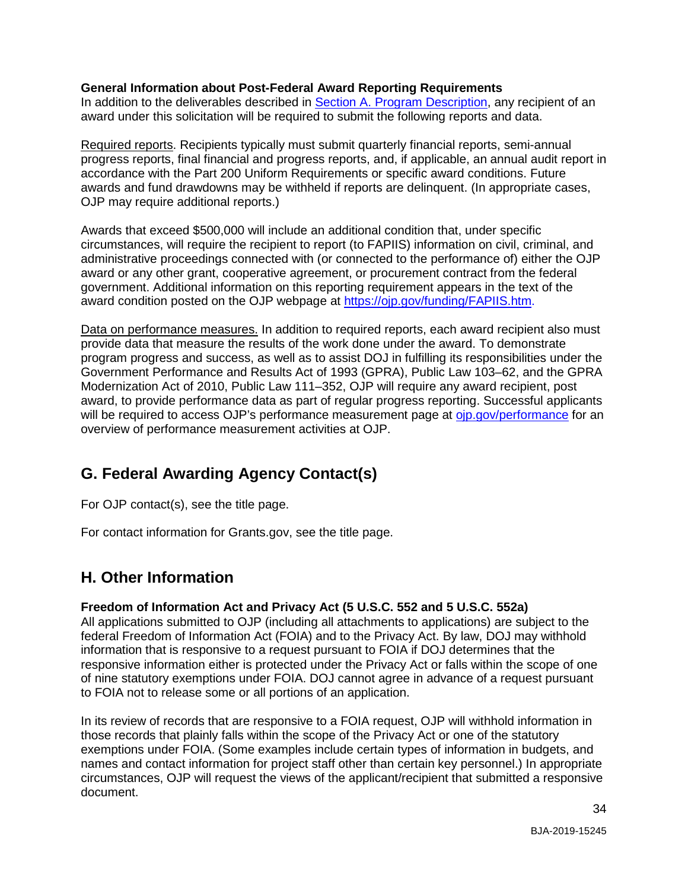#### **General Information about Post-Federal Award Reporting Requirements**

In addition to the deliverables described in [Section A. Program Description,](#page-3-0) any recipient of an award under this solicitation will be required to submit the following reports and data.

Required reports. Recipients typically must submit quarterly financial reports, semi-annual progress reports, final financial and progress reports, and, if applicable, an annual audit report in accordance with the Part 200 Uniform Requirements or specific award conditions. Future awards and fund drawdowns may be withheld if reports are delinquent. (In appropriate cases, OJP may require additional reports.)

Awards that exceed \$500,000 will include an additional condition that, under specific circumstances, will require the recipient to report (to FAPIIS) information on civil, criminal, and administrative proceedings connected with (or connected to the performance of) either the OJP award or any other grant, cooperative agreement, or procurement contract from the federal government. Additional information on this reporting requirement appears in the text of the award condition posted on the OJP webpage at [https://ojp.gov/funding/FAPIIS.htm.](https://ojp.gov/funding/FAPIIS.htm)

Data on performance measures. In addition to required reports, each award recipient also must provide data that measure the results of the work done under the award. To demonstrate program progress and success, as well as to assist DOJ in fulfilling its responsibilities under the Government Performance and Results Act of 1993 (GPRA), Public Law 103–62, and the GPRA Modernization Act of 2010, Public Law 111–352, OJP will require any award recipient, post award, to provide performance data as part of regular progress reporting. Successful applicants will be required to access OJP's performance measurement page at oip.gov/performance for an overview of performance measurement activities at OJP.

# <span id="page-33-0"></span>**G. Federal Awarding Agency Contact(s)**

For OJP contact(s), see the title page.

For contact information for Grants.gov, see the title page.

# <span id="page-33-1"></span>**H. Other Information**

#### <span id="page-33-2"></span>**Freedom of Information Act and Privacy Act (5 U.S.C. 552 and 5 U.S.C. 552a)**

All applications submitted to OJP (including all attachments to applications) are subject to the federal Freedom of Information Act (FOIA) and to the Privacy Act. By law, DOJ may withhold information that is responsive to a request pursuant to FOIA if DOJ determines that the responsive information either is protected under the Privacy Act or falls within the scope of one of nine statutory exemptions under FOIA. DOJ cannot agree in advance of a request pursuant to FOIA not to release some or all portions of an application.

In its review of records that are responsive to a FOIA request, OJP will withhold information in those records that plainly falls within the scope of the Privacy Act or one of the statutory exemptions under FOIA. (Some examples include certain types of information in budgets, and names and contact information for project staff other than certain key personnel.) In appropriate circumstances, OJP will request the views of the applicant/recipient that submitted a responsive document.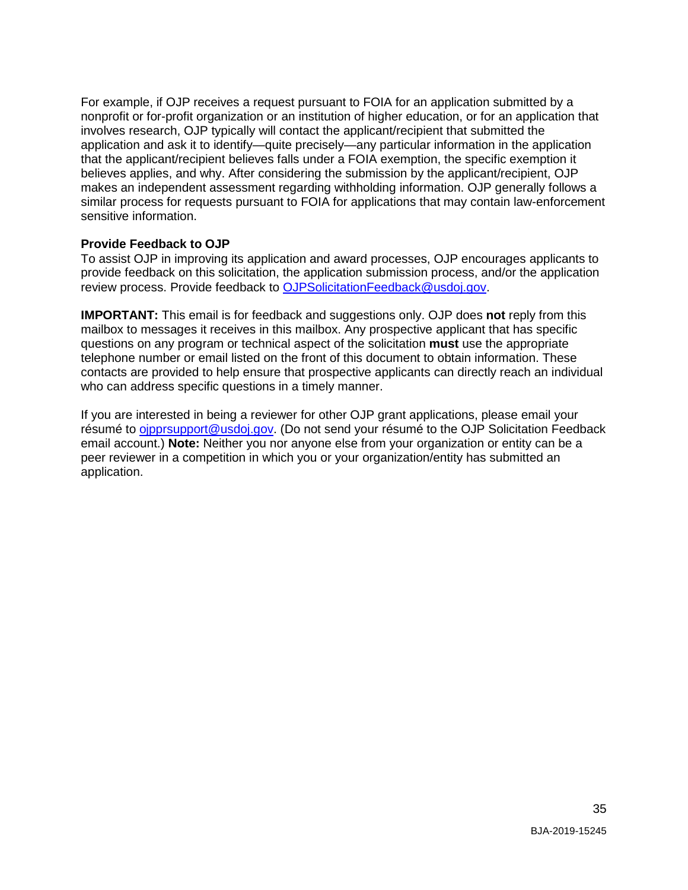For example, if OJP receives a request pursuant to FOIA for an application submitted by a nonprofit or for-profit organization or an institution of higher education, or for an application that involves research, OJP typically will contact the applicant/recipient that submitted the application and ask it to identify—quite precisely—any particular information in the application that the applicant/recipient believes falls under a FOIA exemption, the specific exemption it believes applies, and why. After considering the submission by the applicant/recipient, OJP makes an independent assessment regarding withholding information. OJP generally follows a similar process for requests pursuant to FOIA for applications that may contain law-enforcement sensitive information.

#### <span id="page-34-0"></span>**Provide Feedback to OJP**

To assist OJP in improving its application and award processes, OJP encourages applicants to provide feedback on this solicitation, the application submission process, and/or the application review process. Provide feedback to [OJPSolicitationFeedback@usdoj.gov.](mailto:OJPSolicitationFeedback@usdoj.gov)

**IMPORTANT:** This email is for feedback and suggestions only. OJP does **not** reply from this mailbox to messages it receives in this mailbox. Any prospective applicant that has specific questions on any program or technical aspect of the solicitation **must** use the appropriate telephone number or email listed on the front of this document to obtain information. These contacts are provided to help ensure that prospective applicants can directly reach an individual who can address specific questions in a timely manner.

If you are interested in being a reviewer for other OJP grant applications, please email your résumé to [ojpprsupport@usdoj.gov.](mailto:ojpprsupport@usdoj.gov) (Do not send your résumé to the OJP Solicitation Feedback email account.) **Note:** Neither you nor anyone else from your organization or entity can be a peer reviewer in a competition in which you or your organization/entity has submitted an application.

35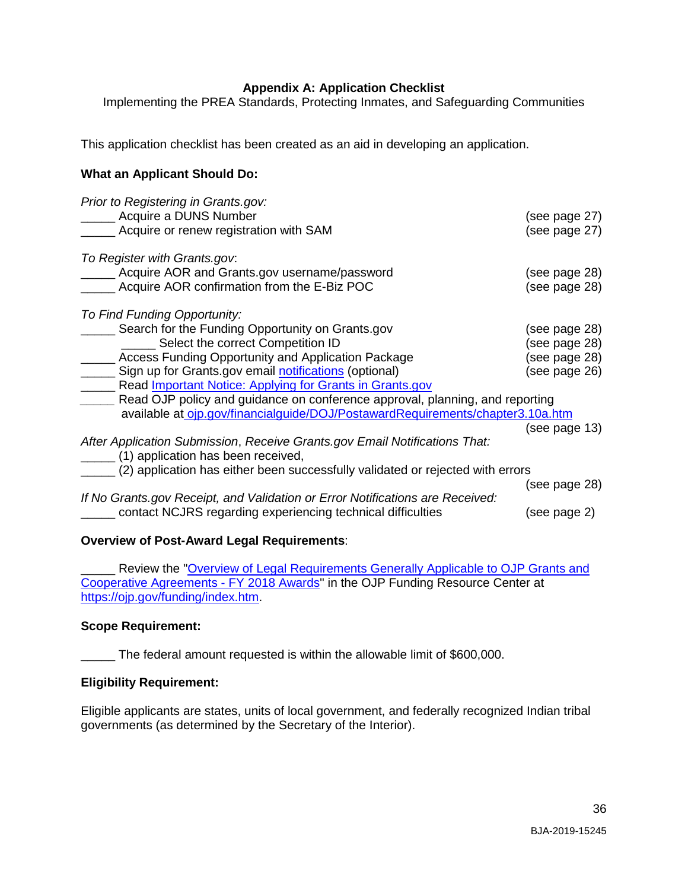#### **Appendix A: Application Checklist**

<span id="page-35-0"></span>Implementing the PREA Standards, Protecting Inmates, and Safeguarding Communities

This application checklist has been created as an aid in developing an application.

#### **What an Applicant Should Do:**

| Prior to Registering in Grants.gov:<br>____ Acquire a DUNS Number<br>Acquire or renew registration with SAM                                                                                                                                                                                                                                                                                                                                                               | (see page 27)<br>(see page 27)                                   |
|---------------------------------------------------------------------------------------------------------------------------------------------------------------------------------------------------------------------------------------------------------------------------------------------------------------------------------------------------------------------------------------------------------------------------------------------------------------------------|------------------------------------------------------------------|
| To Register with Grants.gov.<br>Acquire AOR and Grants.gov username/password<br>Acquire AOR confirmation from the E-Biz POC                                                                                                                                                                                                                                                                                                                                               | (see page 28)<br>(see page 28)                                   |
| To Find Funding Opportunity:<br>Search for the Funding Opportunity on Grants.gov<br>Select the correct Competition ID<br>Access Funding Opportunity and Application Package<br>Sign up for Grants.gov email notifications (optional)<br>Read <b>Important Notice: Applying for Grants in Grants.gov</b><br>Read OJP policy and guidance on conference approval, planning, and reporting<br>available at ojp.gov/financialguide/DOJ/PostawardRequirements/chapter3.10a.htm | (see page 28)<br>(see page 28)<br>(see page 28)<br>(see page 26) |
| After Application Submission, Receive Grants.gov Email Notifications That:<br>(1) application has been received,<br>(2) application has either been successfully validated or rejected with errors                                                                                                                                                                                                                                                                        | (see page 13)                                                    |
| If No Grants.gov Receipt, and Validation or Error Notifications are Received:<br>contact NCJRS regarding experiencing technical difficulties                                                                                                                                                                                                                                                                                                                              | (see page 28)<br>(see page 2)                                    |

#### **Overview of Post-Award Legal Requirements**:

Review the "Overview of Legal Requirements Generally Applicable to OJP Grants and [Cooperative Agreements -](https://ojp.gov/funding/Explore/LegalOverview/index.htm) FY 2018 Awards" in the OJP Funding Resource Center at [https://ojp.gov/funding/index.htm.](https://ojp.gov/funding/index.htm)

#### **Scope Requirement:**

\_\_\_\_\_ The federal amount requested is within the allowable limit of \$600,000.

#### **Eligibility Requirement:**

Eligible applicants are states, units of local government, and federally recognized Indian tribal governments (as determined by the Secretary of the Interior).